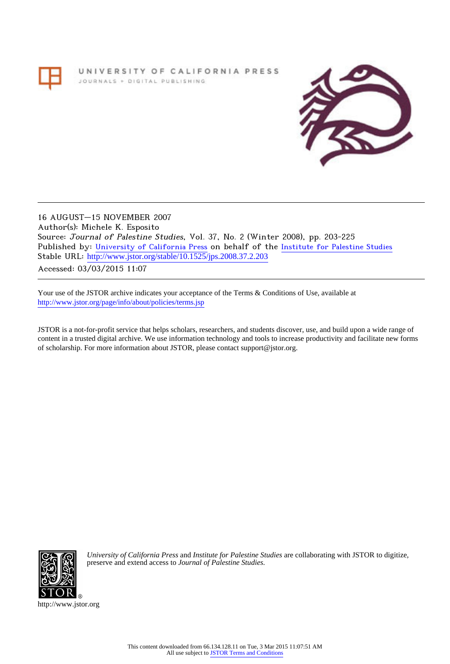# UNIVERSITY OF CALIFORNIA PRESS JOURNALS + DIGITAL PUBLISHING



16 AUGUST–15 NOVEMBER 2007 Author(s): Michele K. Esposito Source: Journal of Palestine Studies, Vol. 37, No. 2 (Winter 2008), pp. 203-225 Published by: [University of California Press](http://www.jstor.org/action/showPublisher?publisherCode=ucal) on behalf of the [Institute for Palestine Studies](http://www.jstor.org/action/showPublisher?publisherCode=palstud) Stable URL: [http://www.jstor.org/stable/10.1525/jps.2008.37.2.203](http://www.jstor.org/stable/10.1525/jps.2008.37.2.203?origin=JSTOR-pdf) .

Accessed: 03/03/2015 11:07

Your use of the JSTOR archive indicates your acceptance of the Terms & Conditions of Use, available at <http://www.jstor.org/page/info/about/policies/terms.jsp>

JSTOR is a not-for-profit service that helps scholars, researchers, and students discover, use, and build upon a wide range of content in a trusted digital archive. We use information technology and tools to increase productivity and facilitate new forms of scholarship. For more information about JSTOR, please contact support@jstor.org.



*University of California Press* and *Institute for Palestine Studies* are collaborating with JSTOR to digitize, preserve and extend access to *Journal of Palestine Studies.*

http://www.jstor.org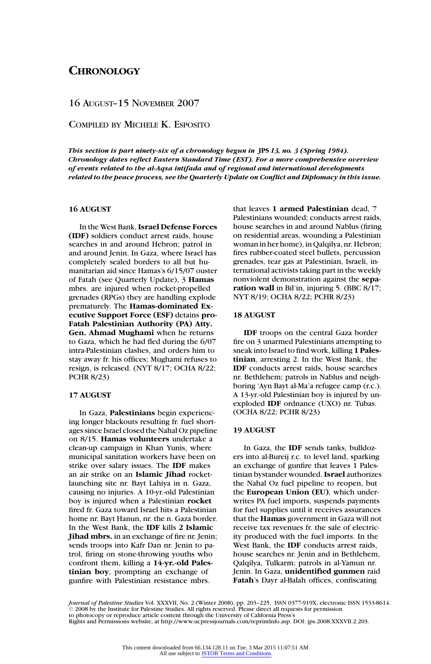# 16 AUGUST–15 NOVEMBER 2007

COMPILED BY MICHELE K. ESPOSITO

*This section is part ninety-six of a chronology begun in* **JPS** 13, no. 3 (Spring 1984). *Chronology dates reflect Eastern Standard Time (EST). For a more comprehensive overview of events related to the al-Aqsa intifada and of regional and international developments related to the peace process, see the Quarterly Update on Conflict and Diplomacy in this issue.*

# **16 AUGUST**

In the West Bank, **Israel Defense Forces (IDF)** soldiers conduct arrest raids, house searches in and around Hebron; patrol in and around Jenin. In Gaza, where Israel has completely sealed borders to all but humanitarian aid since Hamas's 6/15/07 ouster of Fatah (see Quarterly Update), 3 **Hamas** mbrs. are injured when rocket-propelled grenades (RPGs) they are handling explode prematurely. The **Hamas-dominated Executive Support Force (ESF)** detains **pro-Fatah Palestinian Authority (PA) Atty. Gen. Ahmad Mughami** when he returns to Gaza, which he had fled during the 6/07 intra-Palestinian clashes, and orders him to stay away fr. his offices; Mughami refuses to resign, is released. (NYT 8/17; OCHA 8/22; PCHR 8/23)

#### **17 AUGUST**

In Gaza, **Palestinians** begin experiencing longer blackouts resulting fr. fuel shortages since Israel closed the Nahal Oz pipeline on 8/15. **Hamas volunteers** undertake a clean-up campaign in Khan Yunis, where municipal sanitation workers have been on strike over salary issues. The **IDF** makes an air strike on an **Islamic Jihad** rocketlaunching site nr. Bayt Lahiya in n. Gaza, causing no injuries. A 10-yr.-old Palestinian boy is injured when a Palestinian **rocket** fired fr. Gaza toward Israel hits a Palestinian home nr. Bayt Hanun, nr. the n. Gaza border. In the West Bank, the **IDF** kills **2 Islamic Jihad mbrs.** in an exchange of fire nr. Jenin; sends troops into Kafr Dan nr. Jenin to patrol, firing on stone-throwing youths who confront them, killing a **14-yr.-old Palestinian boy**, prompting an exchange of gunfire with Palestinian resistance mbrs.

that leaves **1 armed Palestinian** dead, 7 Palestinians wounded; conducts arrest raids, house searches in and around Nablus (firing on residential areas, wounding a Palestinian woman in her home), in Qalqilya, nr. Hebron; fires rubber-coated steel bullets, percussion grenades, tear gas at Palestinian, Israeli, international activists taking part in the weekly nonviolent demonstration against the **separation wall** in Bil'in, injuring 5. (BBC 8/17; NYT 8/19; OCHA 8/22; PCHR 8/23)

# **18 AUGUST**

**IDF** troops on the central Gaza border fire on 3 unarmed Palestinians attempting to sneak into Israel to find work, killing **1 Palestinian**, arresting 2. In the West Bank, the **IDF** conducts arrest raids, house searches nr. Bethlehem; patrols in Nablus and neighboring 'Ayn Bayt al-Ma'a refugee camp (r.c.). A 13-yr.-old Palestinian boy is injured by unexploded **IDF** ordnance (UXO) nr. Tubas. (OCHA 8/22; PCHR 8/23)

# **19 AUGUST**

In Gaza, the **IDF** sends tanks, bulldozers into al-Bureij r.c. to level land, sparking an exchange of gunfire that leaves 1 Palestinian bystander wounded. **Israel** authorizes the Nahal Oz fuel pipeline to reopen, but the **European Union (EU)**, which underwrites PA fuel imports, suspends payments for fuel supplies until it receives assurances that the **Hamas** government in Gaza will not receive tax revenues fr. the sale of electricity produced with the fuel imports. In the West Bank, the **IDF** conducts arrest raids, house searches nr. Jenin and in Bethlehem, Qalqilya, Tulkarm; patrols in al-Yamun nr. Jenin. In Gaza, **unidentified gunmen** raid **Fatah**'s Dayr al-Balah offices, confiscating

*Journal of Palestine Studies* Vol. XXXVII, No. 2 (Winter 2008), pp. 203–225, ISSN 0377-919X, electronic ISSN 1533-8614<br>© 2008 by the Institute for Palestine Studies. All rights reserved. Please direct all requests for pe to photocopy or reproduce article content through the University of California Press's Rights and Permissions website, at http://www.ucpressjournals.com/reprintInfo.asp. DOI: jps.2008.XXXVII.2.203.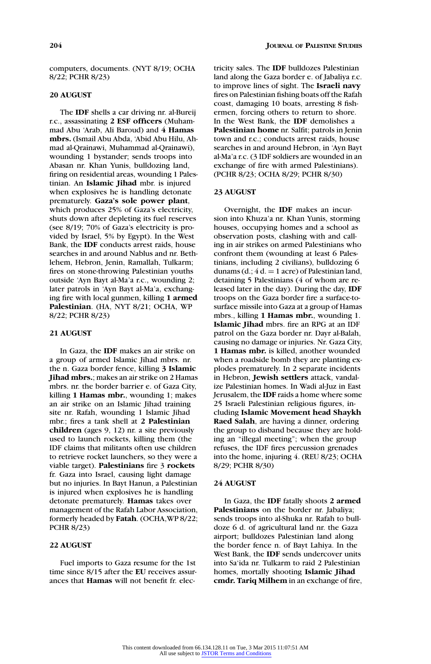computers, documents. (NYT 8/19; OCHA 8/22; PCHR 8/23)

# **20 AUGUST**

The **IDF** shells a car driving nr. al-Bureij r.c., assassinating **2 ESF officers** (Muhammad Abu 'Arab, Ali Baroud) and **4 Hamas mbrs.** (Ismail Abu Abda, 'Abid Abu Hilu, Ahmad al-Qrainawi, Muhammad al-Qrainawi), wounding 1 bystander; sends troops into Abasan nr. Khan Yunis, bulldozing land, firing on residential areas, wounding 1 Palestinian. An **Islamic Jihad** mbr. is injured when explosives he is handling detonate prematurely. **Gaza's sole power plant**, which produces 25% of Gaza's electricity, shuts down after depleting its fuel reserves (see 8/19; 70% of Gaza's electricity is provided by Israel, 5% by Egypt). In the West Bank, the **IDF** conducts arrest raids, house searches in and around Nablus and nr. Bethlehem, Hebron, Jenin, Ramallah, Tulkarm; fires on stone-throwing Palestinian youths outside 'Ayn Bayt al-Ma'a r.c., wounding 2; later patrols in 'Ayn Bayt al-Ma'a, exchanging fire with local gunmen, killing **1 armed Palestinian**. (HA, NYT 8/21; OCHA, WP 8/22; PCHR 8/23)

# **21 AUGUST**

In Gaza, the **IDF** makes an air strike on a group of armed Islamic Jihad mbrs. nr. the n. Gaza border fence, killing **3 Islamic Jihad mbrs.**; makes an air strike on 2 Hamas mbrs. nr. the border barrier e. of Gaza City, killing **1 Hamas mbr.**, wounding 1; makes an air strike on an Islamic Jihad training site nr. Rafah, wounding 1 Islamic Jihad mbr.; fires a tank shell at **2 Palestinian children** (ages 9, 12) nr. a site previously used to launch rockets, killing them (the IDF claims that militants often use children to retrieve rocket launchers, so they were a viable target). **Palestinians** fire 3 **rockets** fr. Gaza into Israel, causing light damage but no injuries. In Bayt Hanun, a Palestinian is injured when explosives he is handling detonate prematurely. **Hamas** takes over management of the Rafah Labor Association, formerly headed by **Fatah**. (OCHA,WP 8/22; PCHR 8/23)

# **22 AUGUST**

Fuel imports to Gaza resume for the 1st time since 8/15 after the **EU** receives assurances that **Hamas** will not benefit fr. electricity sales. The **IDF** bulldozes Palestinian land along the Gaza border e. of Jabaliya r.c. to improve lines of sight. The **Israeli navy** fires on Palestinian fishing boats off the Rafah coast, damaging 10 boats, arresting 8 fishermen, forcing others to return to shore. In the West Bank, the **IDF** demolishes a **Palestinian home** nr. Salfit; patrols in Jenin town and r.c.; conducts arrest raids, house searches in and around Hebron, in 'Ayn Bayt al-Ma'a r.c. (3 IDF soldiers are wounded in an exchange of fire with armed Palestinians). (PCHR 8/23; OCHA 8/29; PCHR 8/30)

#### **23 AUGUST**

Overnight, the **IDF** makes an incursion into Khuza'a nr. Khan Yunis, storming houses, occupying homes and a school as observation posts, clashing with and calling in air strikes on armed Palestinians who confront them (wounding at least 6 Palestinians, including 2 civilians), bulldozing 6 dunams (d.;  $4 d = 1$  acre) of Palestinian land, detaining 5 Palestinians (4 of whom are released later in the day). During the day, **IDF** troops on the Gaza border fire a surface-tosurface missile into Gaza at a group of Hamas mbrs., killing **1 Hamas mbr.**, wounding 1. **Islamic Jihad** mbrs. fire an RPG at an IDF patrol on the Gaza border nr. Dayr al-Balah, causing no damage or injuries. Nr. Gaza City, **1 Hamas mbr.** is killed, another wounded when a roadside bomb they are planting explodes prematurely. In 2 separate incidents in Hebron, **Jewish settlers** attack, vandalize Palestinian homes. In Wadi al-Juz in East Jerusalem, the **IDF** raids a home where some 25 Israeli Palestinian religious figures, including **Islamic Movement head Shaykh Raed Salah**, are having a dinner, ordering the group to disband because they are holding an "illegal meeting"; when the group refuses, the IDF fires percussion grenades into the home, injuring 4. (REU 8/23; OCHA 8/29; PCHR 8/30)

# **24 AUGUST**

In Gaza, the **IDF** fatally shoots **2 armed Palestinians** on the border nr. Jabaliya; sends troops into al-Shuka nr. Rafah to bulldoze 6 d. of agricultural land nr. the Gaza airport; bulldozes Palestinian land along the border fence n. of Bayt Lahiya. In the West Bank, the **IDF** sends undercover units into Sa'ida nr. Tulkarm to raid 2 Palestinian homes, mortally shooting **Islamic Jihad cmdr. Tariq Milhem** in an exchange of fire,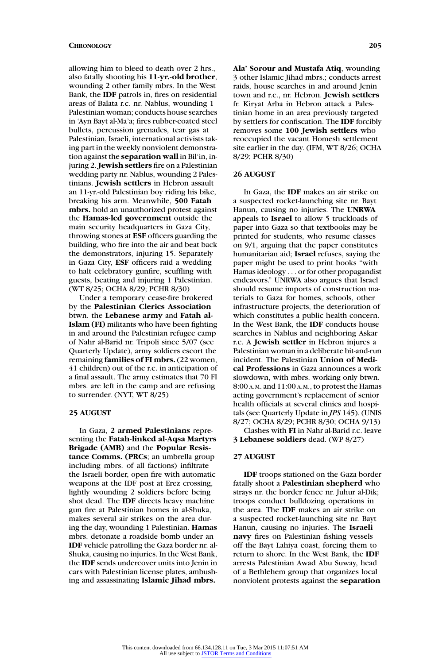allowing him to bleed to death over 2 hrs., also fatally shooting his **11-yr.-old brother**, wounding 2 other family mbrs. In the West Bank, the **IDF** patrols in, fires on residential areas of Balata r.c. nr. Nablus, wounding 1 Palestinian woman; conducts house searches in 'Ayn Bayt al-Ma'a; fires rubber-coated steel bullets, percussion grenades, tear gas at Palestinian, Israeli, international activists taking part in the weekly nonviolent demonstration against the **separation wall** in Bil'in, injuring 2. **Jewish settlers** fire on a Palestinian wedding party nr. Nablus, wounding 2 Palestinians. **Jewish settlers** in Hebron assault an 11-yr.-old Palestinian boy riding his bike, breaking his arm. Meanwhile, **500 Fatah mbrs.** hold an unauthorized protest against the **Hamas-led government** outside the main security headquarters in Gaza City, throwing stones at **ESF** officers guarding the building, who fire into the air and beat back the demonstrators, injuring 15. Separately in Gaza City, **ESF** officers raid a wedding to halt celebratory gunfire, scuffling with guests, beating and injuring 1 Palestinian. (WT 8/25; OCHA 8/29; PCHR 8/30)

Under a temporary cease-fire brokered by the **Palestinian Clerics Association** btwn. the **Lebanese army** and **Fatah al-Islam (FI)** militants who have been fighting in and around the Palestinian refugee camp of Nahr al-Barid nr. Tripoli since 5/07 (see Quarterly Update), army soldiers escort the remaining **families of FI mbrs.** (22 women, 41 children) out of the r.c. in anticipation of a final assault. The army estimates that 70 FI mbrs. are left in the camp and are refusing to surrender. (NYT, WT 8/25)

# **25 AUGUST**

In Gaza, **2 armed Palestinians** representing the **Fatah-linked al-Aqsa Martyrs Brigade (AMB)** and the **Popular Resistance Comms. (PRCs**; an umbrella group including mbrs. of all factions) infiltrate the Israeli border, open fire with automatic weapons at the IDF post at Erez crossing, lightly wounding 2 soldiers before being shot dead. The **IDF** directs heavy machine gun fire at Palestinian homes in al-Shuka, makes several air strikes on the area during the day, wounding 1 Palestinian. **Hamas** mbrs. detonate a roadside bomb under an **IDF** vehicle patrolling the Gaza border nr. al-Shuka, causing no injuries. In the West Bank, the **IDF** sends undercover units into Jenin in cars with Palestinian license plates, ambushing and assassinating **Islamic Jihad mbrs.**

**Ala' Sorour and Mustafa Atiq**, wounding 3 other Islamic Jihad mbrs.; conducts arrest raids, house searches in and around Jenin town and r.c., nr. Hebron. **Jewish settlers** fr. Kiryat Arba in Hebron attack a Palestinian home in an area previously targeted by settlers for confiscation. The **IDF** forcibly removes some **100 Jewish settlers** who reoccupied the vacant Homesh settlement site earlier in the day. (IFM, WT 8/26; OCHA 8/29; PCHR 8/30)

#### **26 AUGUST**

In Gaza, the **IDF** makes an air strike on a suspected rocket-launching site nr. Bayt Hanun, causing no injuries. The **UNRWA** appeals to **Israel** to allow 5 truckloads of paper into Gaza so that textbooks may be printed for students, who resume classes on 9/1, arguing that the paper constitutes humanitarian aid; **Israel** refuses, saying the paper might be used to print books "with Hamas ideology . . . or for other propagandist endeavors." UNRWA also argues that Israel should resume imports of construction materials to Gaza for homes, schools, other infrastructure projects, the deterioration of which constitutes a public health concern. In the West Bank, the **IDF** conducts house searches in Nablus and neighboring Askar r.c. A **Jewish settler** in Hebron injures a Palestinian woman in a deliberate hit-and-run incident. The Palestinian **Union of Medical Professions** in Gaza announces a work slowdown, with mbrs. working only btwn. 8:00 A.M. and 11:00 A.M., to protest the Hamas acting government's replacement of senior health officials at several clinics and hospitals (see Quarterly Update in *JPS* 145). (UNIS 8/27; OCHA 8/29; PCHR 8/30; OCHA 9/13) Clashes with **FI** in Nahr al-Barid r.c. leave

**3 Lebanese soldiers** dead. (WP 8/27)

# **27 AUGUST**

**IDF** troops stationed on the Gaza border fatally shoot a **Palestinian shepherd** who strays nr. the border fence nr. Juhur al-Dik; troops conduct bulldozing operations in the area. The **IDF** makes an air strike on a suspected rocket-launching site nr. Bayt Hanun, causing no injuries. The **Israeli navy** fires on Palestinian fishing vessels off the Bayt Lahiya coast, forcing them to return to shore. In the West Bank, the **IDF** arrests Palestinian Awad Abu Suway, head of a Bethlehem group that organizes local nonviolent protests against the **separation**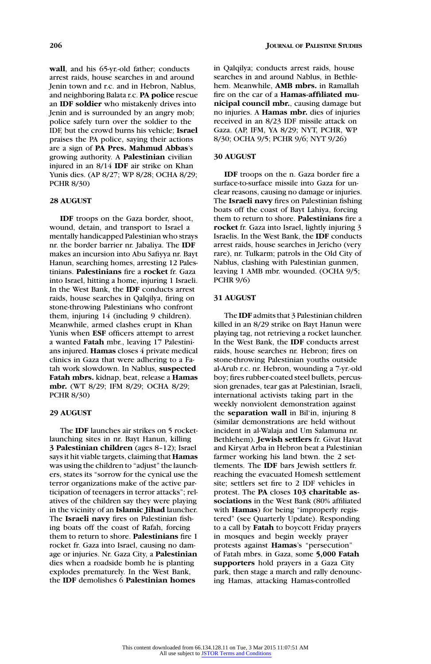**wall**, and his 65-yr.-old father; conducts arrest raids, house searches in and around Jenin town and r.c. and in Hebron, Nablus, and neighboring Balata r.c. **PA police** rescue an **IDF soldier** who mistakenly drives into Jenin and is surrounded by an angry mob; police safely turn over the soldier to the IDF, but the crowd burns his vehicle; **Israel** praises the PA police, saying their actions are a sign of **PA Pres. Mahmud Abbas**'s growing authority. A **Palestinian** civilian injured in an 8/14 **IDF** air strike on Khan Yunis dies. (AP 8/27; WP 8/28; OCHA 8/29; PCHR 8/30)

### **28 AUGUST**

**IDF** troops on the Gaza border, shoot, wound, detain, and transport to Israel a mentally handicapped Palestinian who strays nr. the border barrier nr. Jabaliya. The **IDF** makes an incursion into Abu Safiyya nr. Bayt Hanun, searching homes, arresting 12 Palestinians. **Palestinians** fire a **rocket** fr. Gaza into Israel, hitting a home, injuring 1 Israeli. In the West Bank, the **IDF** conducts arrest raids, house searches in Qalqilya, firing on stone-throwing Palestinians who confront them, injuring 14 (including 9 children). Meanwhile, armed clashes erupt in Khan Yunis when **ESF** officers attempt to arrest a wanted **Fatah** mbr., leaving 17 Palestinians injured. **Hamas** closes 4 private medical clinics in Gaza that were adhering to a Fatah work slowdown. In Nablus, **suspected Fatah mbrs.** kidnap, beat, release a **Hamas mbr.** (WT 8/29; IFM 8/29; OCHA 8/29; PCHR 8/30)

# **29 AUGUST**

The **IDF** launches air strikes on 5 rocketlaunching sites in nr. Bayt Hanun, killing **3 Palestinian children** (ages 8–12); Israel says it hit viable targets, claiming that **Hamas** was using the children to "adjust" the launchers, states its "sorrow for the cynical use the terror organizations make of the active participation of teenagers in terror attacks"; relatives of the children say they were playing in the vicinity of an **Islamic Jihad** launcher. The **Israeli navy** fires on Palestinian fishing boats off the coast of Rafah, forcing them to return to shore. **Palestinians** fire 1 rocket fr. Gaza into Israel, causing no damage or injuries. Nr. Gaza City, a **Palestinian** dies when a roadside bomb he is planting explodes prematurely. In the West Bank, the **IDF** demolishes 6 **Palestinian homes**

in Qalqilya; conducts arrest raids, house searches in and around Nablus, in Bethlehem. Meanwhile, **AMB mbrs.** in Ramallah fire on the car of a **Hamas-affiliated municipal council mbr.**, causing damage but no injuries. A **Hamas mbr.** dies of injuries received in an 8/23 IDF missile attack on Gaza. (AP, IFM, YA 8/29; NYT, PCHR, WP 8/30; OCHA 9/5; PCHR 9/6; NYT 9/26)

#### **30 AUGUST**

**IDF** troops on the n. Gaza border fire a surface-to-surface missile into Gaza for unclear reasons, causing no damage or injuries. The **Israeli navy** fires on Palestinian fishing boats off the coast of Bayt Lahiya, forcing them to return to shore. **Palestinians** fire a **rocket** fr. Gaza into Israel, lightly injuring 3 Israelis. In the West Bank, the **IDF** conducts arrest raids, house searches in Jericho (very rare), nr. Tulkarm; patrols in the Old City of Nablus, clashing with Palestinian gunmen, leaving 1 AMB mbr. wounded. (OCHA 9/5; PCHR 9/6)

### **31 AUGUST**

The **IDF** admits that 3 Palestinian children killed in an 8/29 strike on Bayt Hanun were playing tag, not retrieving a rocket launcher. In the West Bank, the **IDF** conducts arrest raids, house searches nr. Hebron; fires on stone-throwing Palestinian youths outside al-Arub r.c. nr. Hebron, wounding a 7-yr.-old boy; fires rubber-coated steel bullets, percussion grenades, tear gas at Palestinian, Israeli, international activists taking part in the weekly nonviolent demonstration against the **separation wall** in Bil'in, injuring 8 (similar demonstrations are held without incident in al-Walaja and Um Salamuna nr. Bethlehem). **Jewish settlers** fr. Givat Havat and Kiryat Arba in Hebron beat a Palestinian farmer working his land btwn. the 2 settlements. The **IDF** bars Jewish settlers fr. reaching the evacuated Homesh settlement site; settlers set fire to 2 IDF vehicles in protest. The **PA** closes **103 charitable associations** in the West Bank (80% affiliated with **Hamas**) for being "improperly registered" (see Quarterly Update). Responding to a call by **Fatah** to boycott Friday prayers in mosques and begin weekly prayer protests against **Hamas**'s "persecution" of Fatah mbrs. in Gaza, some **5,000 Fatah supporters** hold prayers in a Gaza City park, then stage a march and rally denouncing Hamas, attacking Hamas-controlled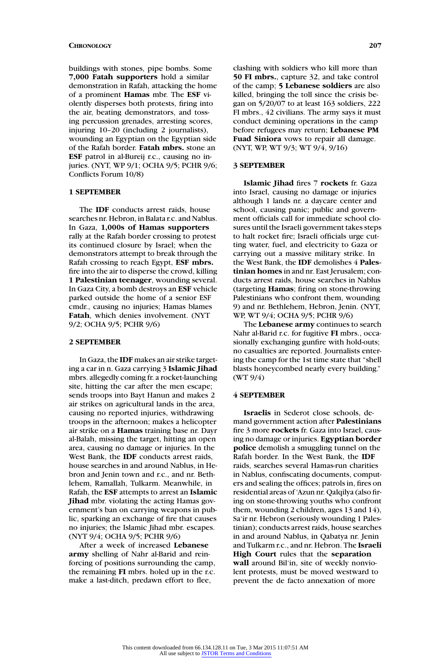buildings with stones, pipe bombs. Some **7,000 Fatah supporters** hold a similar demonstration in Rafah, attacking the home of a prominent **Hamas** mbr. The **ESF** violently disperses both protests, firing into the air, beating demonstrators, and tossing percussion grenades, arresting scores, injuring 10–20 (including 2 journalists), wounding an Egyptian on the Egyptian side of the Rafah border. **Fatah mbrs.** stone an **ESF** patrol in al-Bureij r.c., causing no injuries. (NYT, WP 9/1; OCHA 9/5; PCHR 9/6; Conflicts Forum 10/8)

### **1 SEPTEMBER**

The **IDF** conducts arrest raids, house searches nr. Hebron, in Balata r.c. and Nablus. In Gaza, **1,000s of Hamas supporters** rally at the Rafah border crossing to protest its continued closure by Israel; when the demonstrators attempt to break through the Rafah crossing to reach Egypt, **ESF mbrs.** fire into the air to disperse the crowd, killing **1 Palestinian teenager**, wounding several. In Gaza City, a bomb destroys an **ESF** vehicle parked outside the home of a senior ESF cmdr., causing no injuries; Hamas blames **Fatah**, which denies involvement. (NYT 9/2; OCHA 9/5; PCHR 9/6)

#### **2 SEPTEMBER**

In Gaza, the **IDF** makes an air strike targeting a car in n. Gaza carrying 3 **Islamic Jihad** mbrs. allegedly coming fr. a rocket-launching site, hitting the car after the men escape; sends troops into Bayt Hanun and makes 2 air strikes on agricultural lands in the area, causing no reported injuries, withdrawing troops in the afternoon; makes a helicopter air strike on a **Hamas** training base nr. Dayr al-Balah, missing the target, hitting an open area, causing no damage or injuries. In the West Bank, the **IDF** conducts arrest raids, house searches in and around Nablus, in Hebron and Jenin town and r.c., and nr. Bethlehem, Ramallah, Tulkarm. Meanwhile, in Rafah, the **ESF** attempts to arrest an **Islamic Jihad** mbr. violating the acting Hamas government's ban on carrying weapons in public, sparking an exchange of fire that causes no injuries; the Islamic Jihad mbr. escapes. (NYT 9/4; OCHA 9/5; PCHR 9/6)

After a week of increased **Lebanese army** shelling of Nahr al-Barid and reinforcing of positions surrounding the camp, the remaining **FI** mbrs. holed up in the r.c. make a last-ditch, predawn effort to flee,

clashing with soldiers who kill more than **50 FI mbrs.**, capture 32, and take control of the camp; **5 Lebanese soldiers** are also killed, bringing the toll since the crisis began on 5/20/07 to at least 163 soldiers, 222 FI mbrs., 42 civilians. The army says it must conduct demining operations in the camp before refugees may return; **Lebanese PM Fuad Siniora** vows to repair all damage. (NYT, WP, WT 9/3; WT 9/4, 9/16)

#### **3 SEPTEMBER**

**Islamic Jihad** fires 7 **rockets** fr. Gaza into Israel, causing no damage or injuries although 1 lands nr. a daycare center and school, causing panic; public and government officials call for immediate school closures until the Israeli government takes steps to halt rocket fire; Israeli officials urge cutting water, fuel, and electricity to Gaza or carrying out a massive military strike. In the West Bank, the **IDF** demolishes 4 **Palestinian homes** in and nr. East Jerusalem; conducts arrest raids, house searches in Nablus (targeting **Hamas**; firing on stone-throwing Palestinians who confront them, wounding 9) and nr. Bethlehem, Hebron, Jenin. (NYT, WP, WT 9/4; OCHA 9/5; PCHR 9/6)

The **Lebanese army** continues to search Nahr al-Barid r.c. for fugitive **FI** mbrs., occasionally exchanging gunfire with hold-outs; no casualties are reported. Journalists entering the camp for the 1st time state that "shell blasts honeycombed nearly every building." (WT 9/4)

# **4 SEPTEMBER**

**Israelis** in Sederot close schools, demand government action after **Palestinians** fire 3 more **rockets** fr. Gaza into Israel, causing no damage or injuries. **Egyptian border police** demolish a smuggling tunnel on the Rafah border. In the West Bank, the **IDF** raids, searches several Hamas-run charities in Nablus, confiscating documents, computers and sealing the offices; patrols in, fires on residential areas of 'Azun nr. Qalqilya (also firing on stone-throwing youths who confront them, wounding 2 children, ages 13 and 14), Sa'ir nr. Hebron (seriously wounding 1 Palestinian); conducts arrest raids, house searches in and around Nablus, in Qabatya nr. Jenin and Tulkarm r.c., and nr. Hebron. The **Israeli High Court** rules that the **separation wall** around Bil'in, site of weekly nonviolent protests, must be moved westward to prevent the de facto annexation of more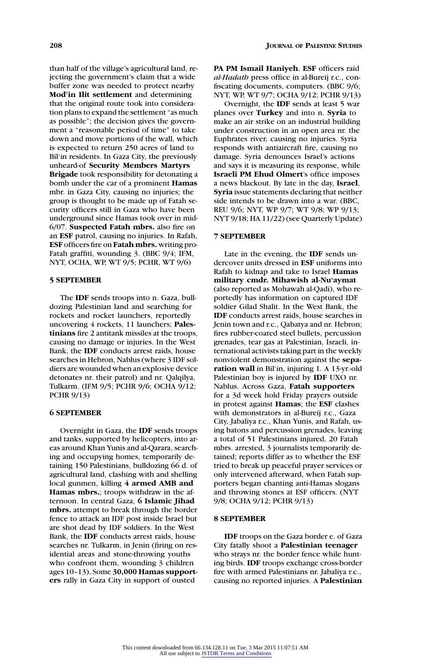than half of the village's agricultural land, rejecting the government's claim that a wide buffer zone was needed to protect nearby **Mod'in Ilit settlement** and determining that the original route took into consideration plans to expand the settlement "as much as possible"; the decision gives the government a "reasonable period of time" to take down and move portions of the wall, which is expected to return 250 acres of land to Bil'in residents. In Gaza City, the previously unheard-of **Security Members Martyrs Brigade** took responsibility for detonating a bomb under the car of a prominent **Hamas** mbr. in Gaza City, causing no injuries; the group is thought to be made up of Fatah security officers still in Gaza who have been underground since Hamas took over in mid-6/07. **Suspected Fatah mbrs.** also fire on an **ESF** patrol, causing no injuries. In Rafah, **ESF** officers fire on **Fatah mbrs.** writing pro-Fatah graffiti, wounding 3. (BBC 9/4; IFM, NYT, OCHA, WP, WT 9/5; PCHR, WT 9/6)

#### **5 SEPTEMBER**

The **IDF** sends troops into n. Gaza, bulldozing Palestinian land and searching for rockets and rocket launchers, reportedly uncovering 4 rockets, 11 launchers; **Palestinians** fire 2 antitank missiles at the troops, causing no damage or injuries. In the West Bank, the **IDF** conducts arrest raids, house searches in Hebron, Nablus (where 3 IDF soldiers are wounded when an explosive device detonates nr. their patrol) and nr. Qalqilya, Tulkarm. (IFM 9/5; PCHR 9/6; OCHA 9/12; PCHR 9/13)

# **6 SEPTEMBER**

Overnight in Gaza, the **IDF** sends troops and tanks, supported by helicopters, into areas around Khan Yunis and al-Qarara, searching and occupying homes, temporarily detaining 150 Palestinians, bulldozing 66 d. of agricultural land, clashing with and shelling local gunmen, killing **4 armed AMB and Hamas mbrs.**; troops withdraw in the afternoon. In central Gaza, **6 Islamic Jihad mbrs.** attempt to break through the border fence to attack an IDF post inside Israel but are shot dead by IDF soldiers. In the West Bank, the **IDF** conducts arrest raids, house searches nr. Tulkarm, in Jenin (firing on residential areas and stone-throwing youths who confront them, wounding 3 children ages 10–13). Some **30,000 Hamas supporters** rally in Gaza City in support of ousted

**PA PM Ismail Haniyeh**. **ESF** officers raid *al-Hadath* press office in al-Bureij r.c., confiscating documents, computers. (BBC 9/6; NYT, WP, WT 9/7; OCHA 9/12; PCHR 9/13)

Overnight, the **IDF** sends at least 5 war planes over **Turkey** and into n. **Syria** to make an air strike on an industrial building under construction in an open area nr. the Euphrates river, causing no injuries. Syria responds with antiaircraft fire, causing no damage. Syria denounces Israel's actions and says it is measuring its response, while **Israeli PM Ehud Olmert**'s office imposes a news blackout. By late in the day, **Israel**, **Syria** issue statements declaring that neither side intends to be drawn into a war. (BBC, REU 9/6; NYT, WP 9/7; WT 9/8; WP 9/13; NYT 9/18; HA 11/22) (see Quarterly Update)

# **7 SEPTEMBER**

Late in the evening, the **IDF** sends undercover units dressed in **ESF** uniforms into Rafah to kidnap and take to Israel **Hamas military cmdr. Mihawish al-Nu'aymat** (also reported as Mohawah al-Qadi), who reportedly has information on captured IDF soldier Gilad Shalit. In the West Bank, the **IDF** conducts arrest raids, house searches in Jenin town and r.c., Qabatya and nr. Hebron; fires rubber-coated steel bullets, percussion grenades, tear gas at Palestinian, Israeli, international activists taking part in the weekly nonviolent demonstration against the **separation wall** in Bil'in, injuring 1. A 13-yr.-old Palestinian boy is injured by **IDF** UXO nr. Nablus. Across Gaza, **Fatah supporters** for a 3d week hold Friday prayers outside in protest against **Hamas**; the **ESF** clashes with demonstrators in al-Bureij r.c., Gaza City, Jabaliya r.c., Khan Yunis, and Rafah, using batons and percussion grenades, leaving a total of 51 Palestinians injured, 20 Fatah mbrs. arrested, 3 journalists temporarily detained; reports differ as to whether the ESF tried to break up peaceful prayer services or only intervened afterward, when Fatah supporters began chanting anti-Hamas slogans and throwing stones at ESF officers. (NYT 9/8; OCHA 9/12; PCHR 9/13)

### **8 SEPTEMBER**

**IDF** troops on the Gaza border e. of Gaza City fatally shoot a **Palestinian teenager** who strays nr. the border fence while hunting birds. **IDF** troops exchange cross-border fire with armed Palestinians nr. Jabaliya r.c., causing no reported injuries. A **Palestinian**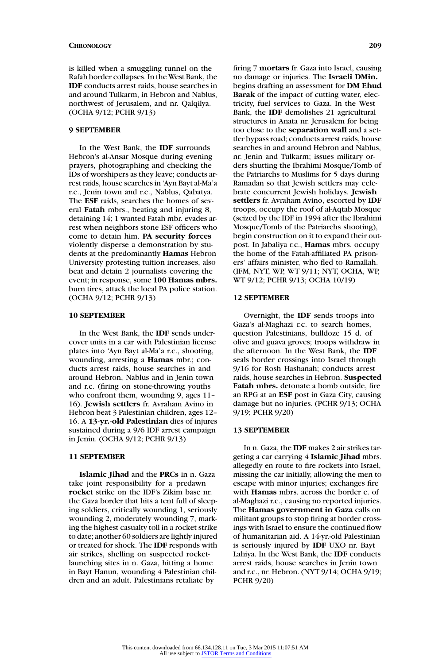is killed when a smuggling tunnel on the Rafah border collapses. In the West Bank, the **IDF** conducts arrest raids, house searches in and around Tulkarm, in Hebron and Nablus, northwest of Jerusalem, and nr. Qalqilya. (OCHA 9/12; PCHR 9/13)

### **9 SEPTEMBER**

In the West Bank, the **IDF** surrounds Hebron's al-Ansar Mosque during evening prayers, photographing and checking the IDs of worshipers as they leave; conducts arrest raids, house searches in 'Ayn Bayt al-Ma'a r.c., Jenin town and r.c., Nablus, Qabatya. The **ESF** raids, searches the homes of several **Fatah** mbrs., beating and injuring 8, detaining 14; 1 wanted Fatah mbr. evades arrest when neighbors stone ESF officers who come to detain him. **PA security forces** violently disperse a demonstration by students at the predominantly **Hamas** Hebron University protesting tuition increases, also beat and detain 2 journalists covering the event; in response, some **100 Hamas mbrs.** burn tires, attack the local PA police station. (OCHA 9/12; PCHR 9/13)

#### **10 SEPTEMBER**

In the West Bank, the **IDF** sends undercover units in a car with Palestinian license plates into 'Ayn Bayt al-Ma'a r.c., shooting, wounding, arresting a **Hamas** mbr.; conducts arrest raids, house searches in and around Hebron, Nablus and in Jenin town and r.c. (firing on stone-throwing youths who confront them, wounding 9, ages 11-16). **Jewish settlers** fr. Avraham Avino in Hebron beat 3 Palestinian children, ages 12– 16. A **13-yr.-old Palestinian** dies of injures sustained during a 9/6 IDF arrest campaign in Jenin. (OCHA 9/12; PCHR 9/13)

# **11 SEPTEMBER**

**Islamic Jihad** and the **PRCs** in n. Gaza take joint responsibility for a predawn **rocket** strike on the IDF's Zikim base nr. the Gaza border that hits a tent full of sleeping soldiers, critically wounding 1, seriously wounding 2, moderately wounding 7, marking the highest casualty toll in a rocket strike to date; another 60 soldiers are lightly injured or treated for shock. The **IDF** responds with air strikes, shelling on suspected rocketlaunching sites in n. Gaza, hitting a home in Bayt Hanun, wounding 4 Palestinian children and an adult. Palestinians retaliate by

firing 7 **mortars** fr. Gaza into Israel, causing no damage or injuries. The **Israeli DMin.** begins drafting an assessment for **DM Ehud Barak** of the impact of cutting water, electricity, fuel services to Gaza. In the West Bank, the **IDF** demolishes 21 agricultural structures in Anata nr. Jerusalem for being too close to the **separation wall** and a settler bypass road; conducts arrest raids, house searches in and around Hebron and Nablus, nr. Jenin and Tulkarm; issues military orders shutting the Ibrahimi Mosque/Tomb of the Patriarchs to Muslims for 5 days during Ramadan so that Jewish settlers may celebrate concurrent Jewish holidays. **Jewish settlers** fr. Avraham Avino, escorted by **IDF** troops, occupy the roof of al-Aqtab Mosque (seized by the IDF in 1994 after the Ibrahimi Mosque/Tomb of the Patriarchs shooting), begin construction on it to expand their outpost. In Jabaliya r.c., **Hamas** mbrs. occupy the home of the Fatah-affiliated PA prisoners' affairs minister, who fled to Ramallah. (IFM, NYT, WP, WT 9/11; NYT, OCHA, WP, WT 9/12; PCHR 9/13; OCHA 10/19)

#### **12 SEPTEMBER**

Overnight, the **IDF** sends troops into Gaza's al-Maghazi r.c. to search homes, question Palestinians, bulldoze 15 d. of olive and guava groves; troops withdraw in the afternoon. In the West Bank, the **IDF** seals border crossings into Israel through 9/16 for Rosh Hashanah; conducts arrest raids, house searches in Hebron. **Suspected Fatah mbrs.** detonate a bomb outside, fire an RPG at an **ESF** post in Gaza City, causing damage but no injuries. (PCHR 9/13; OCHA 9/19; PCHR 9/20)

# **13 SEPTEMBER**

In n. Gaza, the **IDF** makes 2 air strikes targeting a car carrying 4 **Islamic Jihad** mbrs. allegedly en route to fire rockets into Israel, missing the car initially, allowing the men to escape with minor injuries; exchanges fire with **Hamas** mbrs. across the border e. of al-Maghazi r.c., causing no reported injuries. The **Hamas government in Gaza** calls on militant groups to stop firing at border crossings with Israel to ensure the continued flow of humanitarian aid. A 14-yr.-old Palestinian is seriously injured by **IDF** UXO nr. Bayt Lahiya. In the West Bank, the **IDF** conducts arrest raids, house searches in Jenin town and r.c., nr. Hebron. (NYT 9/14; OCHA 9/19; PCHR 9/20)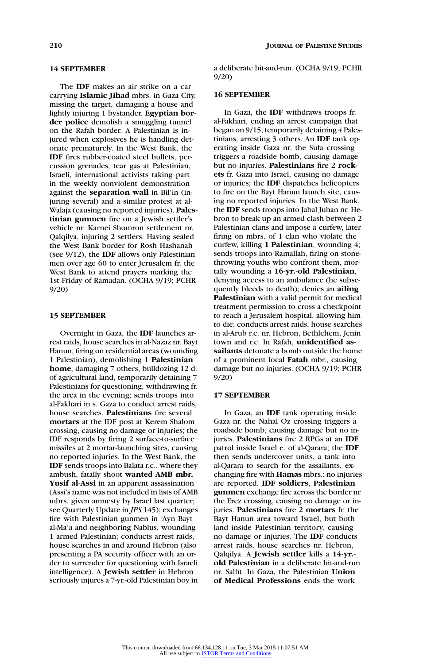### **14 SEPTEMBER**

The **IDF** makes an air strike on a car carrying **Islamic Jihad** mbrs. in Gaza City, missing the target, damaging a house and lightly injuring 1 bystander. **Egyptian border police** demolish a smuggling tunnel on the Rafah border. A Palestinian is injured when explosives he is handling detonate prematurely. In the West Bank, the **IDF** fires rubber-coated steel bullets, percussion grenades, tear gas at Palestinian, Israeli, international activists taking part in the weekly nonviolent demonstration against the **separation wall** in Bil'in (injuring several) and a similar protest at al-Walaja (causing no reported injuries). **Palestinian gunmen** fire on a Jewish settler's vehicle nr. Karnei Shomron settlement nr. Qalqilya, injuring 2 settlers. Having sealed the West Bank border for Rosh Hashanah (see 9/12), the **IDF** allows only Palestinian men over age 60 to enter Jerusalem fr. the West Bank to attend prayers marking the 1st Friday of Ramadan. (OCHA 9/19; PCHR 9/20)

#### **15 SEPTEMBER**

Overnight in Gaza, the **IDF** launches arrest raids, house searches in al-Nazaz nr. Bayt Hanun, firing on residential areas (wounding 1 Palestinian), demolishing 1 **Palestinian home**, damaging 7 others, bulldozing 12 d. of agricultural land, temporarily detaining 7 Palestinians for questioning, withdrawing fr. the area in the evening; sends troops into al-Fakhari in s. Gaza to conduct arrest raids, house searches. **Palestinians** fire several **mortars** at the IDF post at Kerem Shalom crossing, causing no damage or injuries; the IDF responds by firing 2 surface-to-surface missiles at 2 mortar-launching sites, causing no reported injuries. In the West Bank, the **IDF** sends troops into Balata r.c., where they ambush, fatally shoot **wanted AMB mbr. Yusif al-Assi** in an apparent assassination (Assi's name was not included in lists of AMB mbrs. given amnesty by Israel last quarter; see Quarterly Update in *JPS* 145); exchanges fire with Palestinian gunmen in 'Ayn Bayt al-Ma'a and neighboring Nablus, wounding 1 armed Palestinian; conducts arrest raids, house searches in and around Hebron (also presenting a PA security officer with an order to surrender for questioning with Israeli intelligence). A **Jewish settler** in Hebron seriously injures a 7-yr.-old Palestinian boy in

a deliberate hit-and-run. (OCHA 9/19; PCHR 9/20)

### **16 SEPTEMBER**

In Gaza, the **IDF** withdraws troops fr. al-Fakhari, ending an arrest campaign that began on 9/15, temporarily detaining 4 Palestinians, arresting 3 others. An **IDF** tank operating inside Gaza nr. the Sufa crossing triggers a roadside bomb, causing damage but no injuries. **Palestinians** fire 2 **rockets** fr. Gaza into Israel, causing no damage or injuries; the **IDF** dispatches helicopters to fire on the Bayt Hanun launch site, causing no reported injuries. In the West Bank, the **IDF** sends troops into Jabal Juhan nr. Hebron to break up an armed clash between 2 Palestinian clans and impose a curfew, later firing on mbrs. of 1 clan who violate the curfew, killing **1 Palestinian**, wounding 4; sends troops into Ramallah, firing on stonethrowing youths who confront them, mortally wounding a **16-yr.-old Palestinian**, denying access to an ambulance (he subsequently bleeds to death); denies an **ailing Palestinian** with a valid permit for medical treatment permission to cross a checkpoint to reach a Jerusalem hospital, allowing him to die; conducts arrest raids, house searches in al-Arub r.c. nr. Hebron, Bethlehem, Jenin town and r.c. In Rafah, **unidentified assailants** detonate a bomb outside the home of a prominent local **Fatah** mbr., causing damage but no injuries. (OCHA 9/19; PCHR 9/20)

### **17 SEPTEMBER**

In Gaza, an **IDF** tank operating inside Gaza nr. the Nahal Oz crossing triggers a roadside bomb, causing damage but no injuries. **Palestinians** fire 2 RPGs at an **IDF** patrol inside Israel e. of al-Qarara; the **IDF** then sends undercover units, a tank into al-Qarara to search for the assailants, exchanging fire with **Hamas** mbrs.; no injuries are reported. **IDF soldiers**, **Palestinian gunmen** exchange fire across the border nr. the Erez crossing, causing no damage or injuries. **Palestinians** fire 2 **mortars** fr. the Bayt Hanun area toward Israel, but both land inside Palestinian territory, causing no damage or injuries. The **IDF** conducts arrest raids, house searches nr. Hebron, Qalqilya. A **Jewish settler** kills a **14-yr. old Palestinian** in a deliberate hit-and-run nr. Salfit. In Gaza, the Palestinian **Union of Medical Professions** ends the work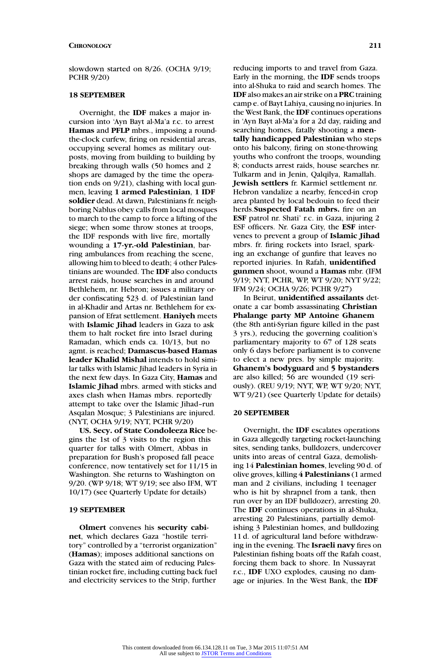slowdown started on 8/26. (OCHA 9/19; PCHR 9/20)

#### **18 SEPTEMBER**

Overnight, the **IDF** makes a major incursion into 'Ayn Bayt al-Ma'a r.c. to arrest **Hamas** and **PFLP** mbrs., imposing a roundthe-clock curfew, firing on residential areas, occupying several homes as military outposts, moving from building to building by breaking through walls (50 homes and 2 shops are damaged by the time the operation ends on 9/21), clashing with local gunmen, leaving **1 armed Palestinian**, **1 IDF soldier** dead. At dawn, Palestinians fr. neighboring Nablus obey calls from local mosques to march to the camp to force a lifting of the siege; when some throw stones at troops, the IDF responds with live fire, mortally wounding a **17-yr.-old Palestinian**, barring ambulances from reaching the scene, allowing him to bleed to death; 4 other Palestinians are wounded. The **IDF** also conducts arrest raids, house searches in and around Bethlehem, nr. Hebron; issues a military order confiscating 523 d. of Palestinian land in al-Khadir and Artas nr. Bethlehem for expansion of Efrat settlement. **Haniyeh** meets with **Islamic Jihad** leaders in Gaza to ask them to halt rocket fire into Israel during Ramadan, which ends ca. 10/13, but no agmt. is reached; **Damascus-based Hamas leader Khalid Mishal** intends to hold similar talks with Islamic Jihad leaders in Syria in the next few days. In Gaza City, **Hamas** and **Islamic Jihad** mbrs. armed with sticks and axes clash when Hamas mbrs. reportedly attempt to take over the Islamic Jihad–run Asqalan Mosque; 3 Palestinians are injured. (NYT, OCHA 9/19; NYT, PCHR 9/20)

**US. Secy. of State Condoleeza Rice** begins the 1st of 3 visits to the region this quarter for talks with Olmert, Abbas in preparation for Bush's proposed fall peace conference, now tentatively set for 11/15 in Washington. She returns to Washington on 9/20. (WP 9/18; WT 9/19; see also IFM, WT 10/17) (see Quarterly Update for details)

#### **19 SEPTEMBER**

**Olmert** convenes his **security cabinet**, which declares Gaza "hostile territory" controlled by a "terrorist organization" (**Hamas**); imposes additional sanctions on Gaza with the stated aim of reducing Palestinian rocket fire, including cutting back fuel and electricity services to the Strip, further

reducing imports to and travel from Gaza. Early in the morning, the **IDF** sends troops into al-Shuka to raid and search homes. The **IDF** also makes an air strike on a **PRC**training camp e. of Bayt Lahiya, causing no injuries. In the West Bank, the **IDF** continues operations in 'Ayn Bayt al-Ma'a for a 2d day, raiding and searching homes, fatally shooting a **mentally handicapped Palestinian** who steps onto his balcony, firing on stone-throwing youths who confront the troops, wounding 8; conducts arrest raids, house searches nr. Tulkarm and in Jenin, Qalqilya, Ramallah. **Jewish settlers** fr. Karmiel settlement nr. Hebron vandalize a nearby, fenced-in crop area planted by local bedouin to feed their herds.**Suspected Fatah mbrs.** fire on an **ESF** patrol nr. Shati' r.c. in Gaza, injuring 2 ESF officers. Nr. Gaza City, the **ESF** intervenes to prevent a group of **Islamic Jihad** mbrs. fr. firing rockets into Israel, sparking an exchange of gunfire that leaves no reported injuries. In Rafah, **unidentified gunmen** shoot, wound a **Hamas** mbr. (IFM 9/19; NYT, PCHR, WP, WT 9/20; NYT 9/22; IFM 9/24; OCHA 9/26; PCHR 9/27)

In Beirut, **unidentified assailants** detonate a car bomb assassinating **Christian Phalange party MP Antoine Ghanem** (the 8th anti-Syrian figure killed in the past 3 yrs.), reducing the governing coalition's parliamentary majority to 67 of 128 seats only 6 days before parliament is to convene to elect a new pres. by simple majority. **Ghanem's bodyguard** and **5 bystanders** are also killed; 56 are wounded (19 seriously). (REU 9/19; NYT, WP, WT 9/20; NYT, WT 9/21) (see Quarterly Update for details)

# **20 SEPTEMBER**

Overnight, the **IDF** escalates operations in Gaza allegedly targeting rocket-launching sites, sending tanks, bulldozers, undercover units into areas of central Gaza, demolishing 14 **Palestinian homes**, leveling 90 d. of olive groves, killing **4 Palestinians** (1 armed man and 2 civilians, including 1 teenager who is hit by shrapnel from a tank, then run over by an IDF bulldozer), arresting 20. The **IDF** continues operations in al-Shuka, arresting 20 Palestinians, partially demolishing 3 Palestinian homes, and bulldozing 11 d. of agricultural land before withdrawing in the evening. The **Israeli navy** fires on Palestinian fishing boats off the Rafah coast, forcing them back to shore. In Nussayrat r.c., **IDF** UXO explodes, causing no damage or injuries. In the West Bank, the **IDF**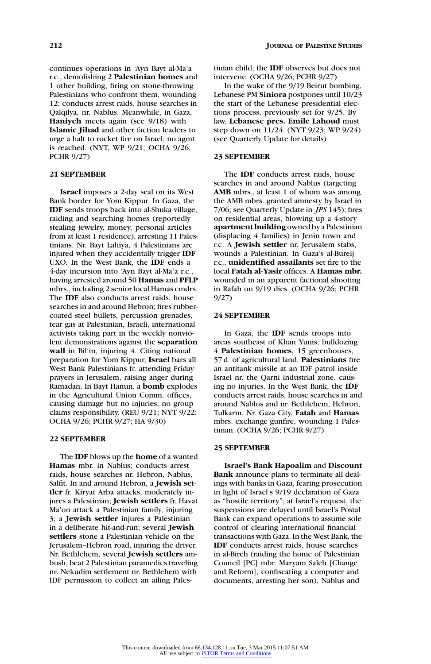continues operations in 'Ayn Bayt al-Ma'a r.c., demolishing 2 **Palestinian homes** and 1 other building, firing on stone-throwing Palestinians who confront them, wounding 12; conducts arrest raids, house searches in Qalqilya, nr. Nablus. Meanwhile, in Gaza, **Haniyeh** meets again (see 9/18) with **Islamic Jihad** and other faction leaders to urge a halt to rocket fire on Israel; no agmt. is reached. (NYT, WP 9/21; OCHA 9/26; PCHR 9/27)

# **21 SEPTEMBER**

**Israel** imposes a 2-day seal on its West Bank border for Yom Kippur. In Gaza, the **IDF** sends troops back into al-Shuka village, raiding and searching homes (reportedly stealing jewelry, money, personal articles from at least 1 residence), arresting 11 Palestinians. Nr. Bayt Lahiya, 4 Palestinians are injured when they accidentally trigger **IDF** UXO. In the West Bank, the **IDF** ends a 4-day incursion into 'Ayn Bayt al-Ma'a r.c., having arrested around 50 **Hamas** and **PFLP** mbrs., including 2 senior local Hamas cmdrs. The **IDF** also conducts arrest raids, house searches in and around Hebron; fires rubbercoated steel bullets, percussion grenades, tear gas at Palestinian, Israeli, international activists taking part in the weekly nonviolent demonstrations against the **separation wall** in Bil'in, injuring 4. Citing national preparation for Yom Kippur, **Israel** bars all West Bank Palestinians fr. attending Friday prayers in Jerusalem, raising anger during Ramadan. In Bayt Hanun, a **bomb** explodes in the Agricultural Union Comm. offices, causing damage but no injuries; no group claims responsibility. (REU 9/21; NYT 9/22; OCHA 9/26; PCHR 9/27; HA 9/30)

# **22 SEPTEMBER**

The **IDF** blows up the **home** of a wanted **Hamas** mbr. in Nablus; conducts arrest raids, house searches nr. Hebron, Nablus, Salfit. In and around Hebron, a **Jewish settler** fr. Kiryat Arba attacks, moderately injures a Palestinian; **Jewish settlers** fr. Havat Ma'on attack a Palestinian family, injuring 3; a **Jewish settler** injures a Palestinian in a deliberate hit-and-run; several **Jewish settlers** stone a Palestinian vehicle on the Jerusalem–Hebron road, injuring the driver. Nr. Bethlehem, several **Jewish settlers** ambush, beat 2 Palestinian paramedics traveling nr. Nekudim settlement nr. Bethlehem with IDF permission to collect an ailing Palestinian child; the **IDF** observes but does not intervene. (OCHA 9/26; PCHR 9/27)

In the wake of the 9/19 Beirut bombing, Lebanese PM **Siniora** postpones until 10/23 the start of the Lebanese presidential elections process, previously set for 9/25. By law, **Lebanese pres. Emile Lahoud** must step down on 11/24. (NYT 9/23; WP 9/24) (see Quarterly Update for details)

# **23 SEPTEMBER**

The **IDF** conducts arrest raids, house searches in and around Nablus (targeting **AMB** mbrs., at least 1 of whom was among the AMB mbrs. granted amnesty by Israel in 7/06; see Quarterly Update in *JPS* 145); fires on residential areas, blowing up a 4-story **apartment building** owned by a Palestinian (displacing 4 families) in Jenin town and r.c. A **Jewish settler** nr. Jerusalem stabs, wounds a Palestinian. In Gaza's al-Bureij r.c., **unidentified assailants** set fire to the local **Fatah al-Yasir** offices. A **Hamas mbr.** wounded in an apparent factional shooting in Rafah on 9/19 dies. (OCHA 9/26; PCHR 9/27)

### **24 SEPTEMBER**

In Gaza, the **IDF** sends troops into areas southeast of Khan Yunis, bulldozing 4 **Palestinian homes**, 15 greenhouses, 57 d. of agricultural land. **Palestinians** fire an antitank missile at an IDF patrol inside Israel nr. the Qarni industrial zone, causing no injuries. In the West Bank, the **IDF** conducts arrest raids, house searches in and around Nablus and nr. Bethlehem, Hebron, Tulkarm. Nr. Gaza City, **Fatah** and **Hamas** mbrs. exchange gunfire, wounding 1 Palestinian. (OCHA 9/26; PCHR 9/27)

# **25 SEPTEMBER**

**Israel's Bank Hapoalim** and **Discount Bank** announce plans to terminate all dealings with banks in Gaza, fearing prosecution in light of Israel's 9/19 declaration of Gaza as "hostile territory"; at Israel's request, the suspensions are delayed until Israel's Postal Bank can expand operations to assume sole control of clearing international financial transactions with Gaza. In the West Bank, the **IDF** conducts arrest raids, house searches in al-Bireh (raiding the home of Palestinian Council [PC] mbr. Maryam Saleh [Change and Reform], confiscating a computer and documents, arresting her son), Nablus and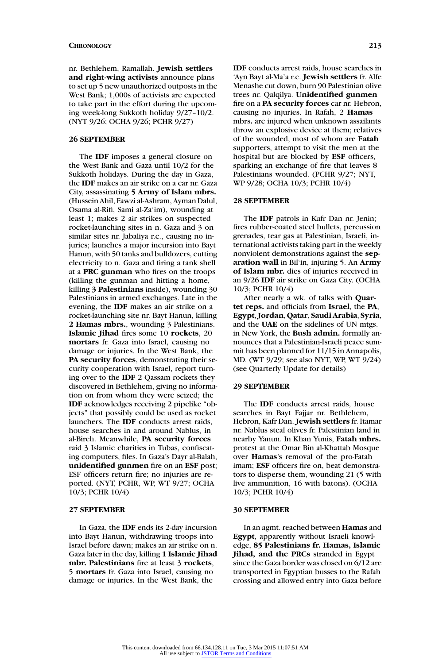nr. Bethlehem, Ramallah. **Jewish settlers and right-wing activists** announce plans to set up 5 new unauthorized outposts in the West Bank; 1,000s of activists are expected to take part in the effort during the upcoming week-long Sukkoth holiday 9/27–10/2. (NYT 9/26; OCHA 9/26; PCHR 9/27)

### **26 SEPTEMBER**

The **IDF** imposes a general closure on the West Bank and Gaza until 10/2 for the Sukkoth holidays. During the day in Gaza, the **IDF** makes an air strike on a car nr. Gaza City, assassinating **5 Army of Islam mbrs.** (Hussein Ahil, Fawzi al-Ashram, Ayman Dalul, Osama al-Rifi, Sami al-Za'im), wounding at least 1; makes 2 air strikes on suspected rocket-launching sites in n. Gaza and 3 on similar sites nr. Jabaliya r.c., causing no injuries; launches a major incursion into Bayt Hanun, with 50 tanks and bulldozers, cutting electricity to n. Gaza and firing a tank shell at a **PRC gunman** who fires on the troops (killing the gunman and hitting a home, killing **3 Palestinians** inside), wounding 30 Palestinians in armed exchanges. Late in the evening, the **IDF** makes an air strike on a rocket-launching site nr. Bayt Hanun, killing **2 Hamas mbrs.**, wounding 3 Palestinians. **Islamic Jihad** fires some 10 **rockets**, 20 **mortars** fr. Gaza into Israel, causing no damage or injuries. In the West Bank, the **PA security forces**, demonstrating their security cooperation with Israel, report turning over to the **IDF** 2 Qassam rockets they discovered in Bethlehem, giving no information on from whom they were seized; the **IDF** acknowledges receiving 2 pipelike "objects" that possibly could be used as rocket launchers. The **IDF** conducts arrest raids, house searches in and around Nablus, in al-Bireh. Meanwhile, **PA security forces** raid 3 Islamic charities in Tubas, confiscating computers, files. In Gaza's Dayr al-Balah, **unidentified gunmen** fire on an **ESF** post; ESF officers return fire; no injuries are reported. (NYT, PCHR, WP, WT 9/27; OCHA 10/3; PCHR 10/4)

#### **27 SEPTEMBER**

In Gaza, the **IDF** ends its 2-day incursion into Bayt Hanun, withdrawing troops into Israel before dawn; makes an air strike on n. Gaza later in the day, killing **1 Islamic Jihad mbr. Palestinians** fire at least 3 **rockets**, 5 **mortars** fr. Gaza into Israel, causing no damage or injuries. In the West Bank, the

**IDF** conducts arrest raids, house searches in 'Ayn Bayt al-Ma'a r.c. **Jewish settlers** fr. Alfe Menashe cut down, burn 90 Palestinian olive trees nr. Qalqilya. **Unidentified gunmen** fire on a **PA security forces** car nr. Hebron, causing no injuries. In Rafah, 2 **Hamas** mbrs**.** are injured when unknown assailants throw an explosive device at them; relatives of the wounded, most of whom are **Fatah** supporters, attempt to visit the men at the hospital but are blocked by **ESF** officers, sparking an exchange of fire that leaves 8 Palestinians wounded. (PCHR 9/27; NYT, WP 9/28; OCHA 10/3; PCHR 10/4)

### **28 SEPTEMBER**

The **IDF** patrols in Kafr Dan nr. Jenin; fires rubber-coated steel bullets, percussion grenades, tear gas at Palestinian, Israeli, international activists taking part in the weekly nonviolent demonstrations against the **separation wall** in Bil'in, injuring 5. An **Army of Islam mbr.** dies of injuries received in an 9/26 **IDF** air strike on Gaza City. (OCHA 10/3; PCHR 10/4)

After nearly a wk. of talks with **Quartet reps.** and officials from **Israel**, the **PA**, **Egypt**, **Jordan**, **Qatar**, **Saudi Arabia**, **Syria**, and the **UAE** on the sidelines of UN mtgs. in New York, the **Bush admin.** formally announces that a Palestinian-Israeli peace summit has been planned for 11/15 in Annapolis, MD. (WT 9/29; see also NYT, WP, WT 9/24) (see Quarterly Update for details)

# **29 SEPTEMBER**

The **IDF** conducts arrest raids, house searches in Bayt Fajjar nr. Bethlehem, Hebron, Kafr Dan. **Jewish settlers** fr. Itamar nr. Nablus steal olives fr. Palestinian land in nearby Yanun. In Khan Yunis, **Fatah mbrs.** protest at the Omar Bin al-Khattab Mosque over **Hamas**'s removal of the pro-Fatah imam; **ESF** officers fire on, beat demonstrators to disperse them, wounding 21 (5 with live ammunition, 16 with batons). (OCHA 10/3; PCHR 10/4)

#### **30 SEPTEMBER**

In an agmt. reached between **Hamas** and **Egypt**, apparently without Israeli knowledge, **85 Palestinians fr. Hamas, Islamic Jihad, and the PRCs** stranded in Egypt since the Gaza border was closed on 6/12 are transported in Egyptian busses to the Rafah crossing and allowed entry into Gaza before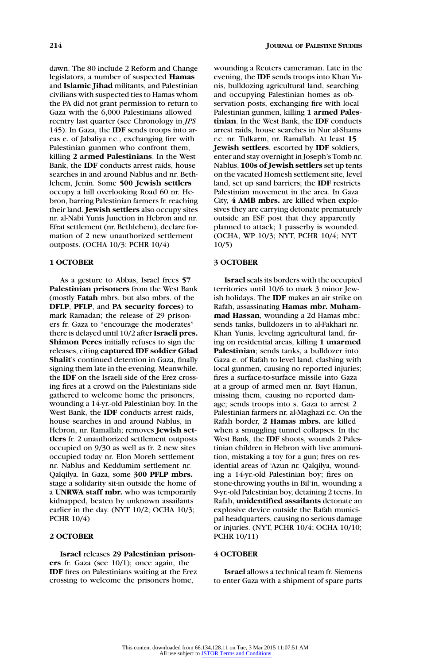dawn. The 80 include 2 Reform and Change legislators, a number of suspected **Hamas** and **Islamic Jihad** militants, and Palestinian civilians with suspected ties to Hamas whom the PA did not grant permission to return to Gaza with the 6,000 Palestinians allowed reentry last quarter (see Chronology in *JPS* 145). In Gaza, the **IDF** sends troops into areas e. of Jabaliya r.c., exchanging fire with Palestinian gunmen who confront them, killing **2 armed Palestinians**. In the West Bank, the **IDF** conducts arrest raids, house searches in and around Nablus and nr. Bethlehem, Jenin. Some **500 Jewish settlers** occupy a hill overlooking Road 60 nr. Hebron, barring Palestinian farmers fr. reaching their land. **Jewish settlers** also occupy sites nr. al-Nabi Yunis Junction in Hebron and nr. Efrat settlement (nr. Bethlehem), declare formation of 2 new unauthorized settlement outposts. (OCHA 10/3; PCHR 10/4)

#### **1 OCTOBER**

As a gesture to Abbas, Israel frees **57 Palestinian prisoners** from the West Bank (mostly **Fatah** mbrs. but also mbrs. of the **DFLP**, **PFLP**, and **PA security forces**) to mark Ramadan; the release of 29 prisoners fr. Gaza to "encourage the moderates" there is delayed until 10/2 after **Israeli pres. Shimon Peres** initially refuses to sign the releases, citing **captured IDF soldier Gilad Shalit**'s continued detention in Gaza, finally signing them late in the evening. Meanwhile, the **IDF** on the Israeli side of the Erez crossing fires at a crowd on the Palestinians side gathered to welcome home the prisoners, wounding a 14-yr.-old Palestinian boy. In the West Bank, the **IDF** conducts arrest raids, house searches in and around Nablus, in Hebron, nr. Ramallah; removes **Jewish settlers** fr. 2 unauthorized settlement outposts occupied on 9/30 as well as fr. 2 new sites occupied today nr. Elon Moreh settlement nr. Nablus and Keddumim settlement nr. Qalqilya. In Gaza, some **300 PFLP mbrs.** stage a solidarity sit-in outside the home of a **UNRWA staff mbr.** who was temporarily kidnapped, beaten by unknown assailants earlier in the day. (NYT 10/2; OCHA 10/3; PCHR 10/4)

# **2 OCTOBER**

**Israel** releases **29 Palestinian prisoners** fr. Gaza (see 10/1); once again, the **IDF** fires on Palestinians waiting at the Erez crossing to welcome the prisoners home,

wounding a Reuters cameraman. Late in the evening, the **IDF** sends troops into Khan Yunis, bulldozing agricultural land, searching and occupying Palestinian homes as observation posts, exchanging fire with local Palestinian gunmen, killing **1 armed Palestinian**. In the West Bank, the **IDF** conducts arrest raids, house searches in Nur al-Shams r.c. nr. Tulkarm, nr. Ramallah. At least **15 Jewish settlers**, escorted by **IDF** soldiers, enter and stay overnight in Joseph's Tomb nr. Nablus. **100s of Jewish settlers** set up tents on the vacated Homesh settlement site, level land, set up sand barriers; the **IDF** restricts Palestinian movement in the area. In Gaza City, **4 AMB mbrs.** are killed when explosives they are carrying detonate prematurely outside an ESF post that they apparently planned to attack; 1 passerby is wounded. (OCHA, WP 10/3; NYT, PCHR 10/4; NYT 10/5)

# **3 OCTOBER**

**Israel** seals its borders with the occupied territories until 10/6 to mark 3 minor Jewish holidays. The **IDF** makes an air strike on Rafah, assassinating **Hamas mbr. Muhammad Hassan**, wounding a 2d Hamas mbr.; sends tanks, bulldozers in to al-Fakhari nr. Khan Yunis, leveling agricultural land, firing on residential areas, killing **1 unarmed Palestinian**; sends tanks, a bulldozer into Gaza e. of Rafah to level land, clashing with local gunmen, causing no reported injuries; fires a surface-to-surface missile into Gaza at a group of armed men nr. Bayt Hanun, missing them, causing no reported damage; sends troops into s. Gaza to arrest 2 Palestinian farmers nr. al-Maghazi r.c. On the Rafah border, **2 Hamas mbrs.** are killed when a smuggling tunnel collapses. In the West Bank, the **IDF** shoots, wounds 2 Palestinian children in Hebron with live ammunition, mistaking a toy for a gun; fires on residential areas of 'Azun nr. Qalqilya, wounding a 14-yr.-old Palestinian boy; fires on stone-throwing youths in Bil'in, wounding a 9-yr.-old Palestinian boy, detaining 2 teens. In Rafah, **unidentified assailants** detonate an explosive device outside the Rafah municipal headquarters, causing no serious damage or injuries. (NYT, PCHR 10/4; OCHA 10/10; PCHR 10/11)

#### **4 OCTOBER**

**Israel** allows a technical team fr. Siemens to enter Gaza with a shipment of spare parts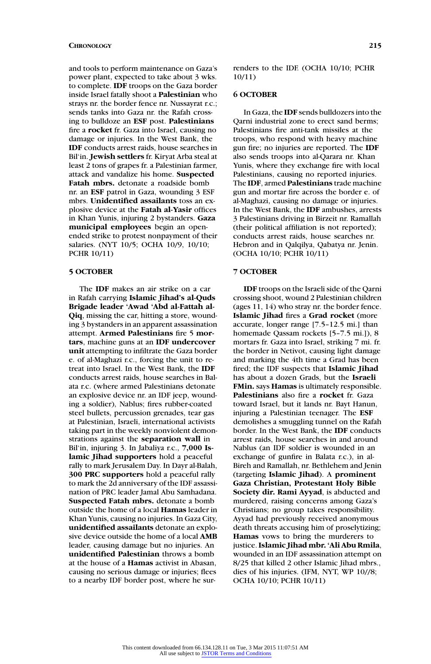and tools to perform maintenance on Gaza's power plant, expected to take about 3 wks. to complete. **IDF** troops on the Gaza border inside Israel fatally shoot a **Palestinian** who strays nr. the border fence nr. Nussayrat r.c.; sends tanks into Gaza nr. the Rafah crossing to bulldoze an **ESF** post. **Palestinians** fire a **rocket** fr. Gaza into Israel, causing no damage or injuries. In the West Bank, the **IDF** conducts arrest raids, house searches in Bil'in. **Jewish settlers** fr. Kiryat Arba steal at least 2 tons of grapes fr. a Palestinian farmer, attack and vandalize his home. **Suspected Fatah mbrs.** detonate a roadside bomb nr. an **ESF** patrol in Gaza, wounding 3 ESF mbrs. **Unidentified assailants** toss an explosive device at the **Fatah al-Yasir** offices in Khan Yunis, injuring 2 bystanders. **Gaza municipal employees** begin an openended strike to protest nonpayment of their salaries. (NYT 10/5; OCHA 10/9, 10/10; PCHR 10/11)

#### **5 OCTOBER**

The **IDF** makes an air strike on a car in Rafah carrying **Islamic Jihad's al-Quds Brigade leader 'Awad 'Abd al-Fattah al-Qiq**, missing the car, hitting a store, wounding 3 bystanders in an apparent assassination attempt. **Armed Palestinians** fire 5 **mortars**, machine guns at an **IDF undercover unit** attempting to infiltrate the Gaza border e. of al-Maghazi r.c., forcing the unit to retreat into Israel. In the West Bank, the **IDF** conducts arrest raids, house searches in Balata r.c. (where armed Palestinians detonate an explosive device nr. an IDF jeep, wounding a soldier), Nablus; fires rubber-coated steel bullets, percussion grenades, tear gas at Palestinian, Israeli, international activists taking part in the weekly nonviolent demonstrations against the **separation wall** in Bil'in, injuring 3. In Jabaliya r.c., **7,000 Islamic Jihad supporters** hold a peaceful rally to mark Jerusalem Day. In Dayr al-Balah, **300 PRC supporters** hold a peaceful rally to mark the 2d anniversary of the IDF assassination of PRC leader Jamal Abu Samhadana. **Suspected Fatah mbrs.** detonate a bomb outside the home of a local **Hamas** leader in Khan Yunis, causing no injuries. In Gaza City, **unidentified assailants** detonate an explosive device outside the home of a local **AMB** leader, causing damage but no injuries. An **unidentified Palestinian** throws a bomb at the house of a **Hamas** activist in Abasan, causing no serious damage or injuries; flees to a nearby IDF border post, where he surrenders to the IDF. (OCHA 10/10; PCHR 10/11)

# **6 OCTOBER**

In Gaza, the **IDF** sends bulldozers into the Qarni industrial zone to erect sand berms; Palestinians fire anti-tank missiles at the troops, who respond with heavy machine gun fire; no injuries are reported. The **IDF** also sends troops into al-Qarara nr. Khan Yunis, where they exchange fire with local Palestinians, causing no reported injuries. The **IDF**, armed **Palestinians** trade machine gun and mortar fire across the border e. of al-Maghazi, causing no damage or injuries. In the West Bank, the **IDF** ambushes, arrests 3 Palestinians driving in Birzeit nr. Ramallah (their political affiliation is not reported); conducts arrest raids, house searches nr. Hebron and in Qalqilya, Qabatya nr. Jenin. (OCHA 10/10; PCHR 10/11)

#### **7 OCTOBER**

**IDF** troops on the Israeli side of the Qarni crossing shoot, wound 2 Palestinian children (ages 11, 14) who stray nr. the border fence. **Islamic Jihad** fires a **Grad rocket** (more accurate, longer range [7.5–12.5 mi.] than homemade Qassam rockets [5–7.5 mi.]), 8 mortars fr. Gaza into Israel, striking 7 mi. fr. the border in Netivot, causing light damage and marking the 4th time a Grad has been fired; the IDF suspects that **Islamic Jihad** has about a dozen Grads, but the **Israeli FMin.** says **Hamas** is ultimately responsible. **Palestinians** also fire a **rocket** fr. Gaza toward Israel, but it lands nr. Bayt Hanun, injuring a Palestinian teenager. The **ESF** demolishes a smuggling tunnel on the Rafah border. In the West Bank, the **IDF** conducts arrest raids, house searches in and around Nablus (an IDF soldier is wounded in an exchange of gunfire in Balata r.c.), in al-Bireh and Ramallah, nr. Bethlehem and Jenin (targeting **Islamic Jihad**). A **prominent Gaza Christian, Protestant Holy Bible Society dir. Rami Ayyad**, is abducted and murdered, raising concerns among Gaza's Christians; no group takes responsibility. Ayyad had previously received anonymous death threats accusing him of proselytizing; **Hamas** vows to bring the murderers to justice.**Islamic Jihad mbr. 'Ali Abu Rmila**, wounded in an IDF assassination attempt on 8/25 that killed 2 other Islamic Jihad mbrs., dies of his injuries. (IFM, NYT, WP 10//8; OCHA 10/10; PCHR 10/11)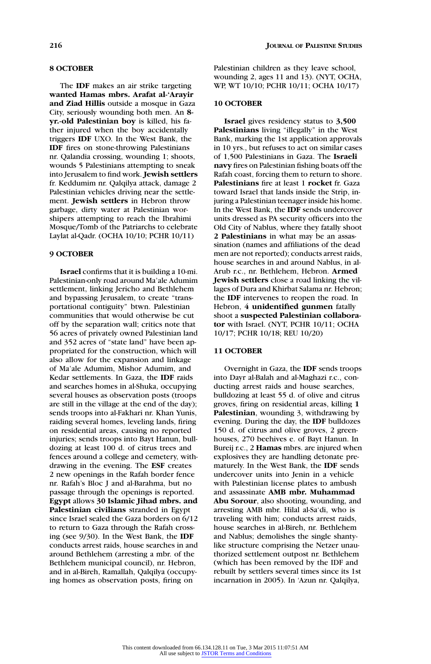### **8 OCTOBER**

The **IDF** makes an air strike targeting **wanted Hamas mbrs. Arafat al-'Arayir and Ziad Hillis** outside a mosque in Gaza City, seriously wounding both men. An **8 yr.-old Palestinian boy** is killed, his father injured when the boy accidentally triggers **IDF** UXO. In the West Bank, the **IDF** fires on stone-throwing Palestinians nr. Qalandia crossing, wounding 1; shoots, wounds 5 Palestinians attempting to sneak into Jerusalem to find work. **Jewish settlers** fr. Keddumim nr. Qalqilya attack, damage 2 Palestinian vehicles driving near the settlement. **Jewish settlers** in Hebron throw garbage, dirty water at Palestinian worshipers attempting to reach the Ibrahimi Mosque/Tomb of the Patriarchs to celebrate Laylat al-Qadr. (OCHA 10/10; PCHR 10/11)

# **9 OCTOBER**

**Israel** confirms that it is building a 10-mi. Palestinian-only road around Ma'ale Adumim settlement, linking Jericho and Bethlehem and bypassing Jerusalem, to create "transportational contiguity" btwn. Palestinian communities that would otherwise be cut off by the separation wall; critics note that 56 acres of privately owned Palestinian land and 352 acres of "state land" have been appropriated for the construction, which will also allow for the expansion and linkage of Ma'ale Adumim, Mishor Adumim, and Kedar settlements. In Gaza, the **IDF** raids and searches homes in al-Shuka, occupying several houses as observation posts (troops are still in the village at the end of the day); sends troops into al-Fakhari nr. Khan Yunis, raiding several homes, leveling lands, firing on residential areas, causing no reported injuries; sends troops into Bayt Hanun, bulldozing at least 100 d. of citrus trees and fences around a college and cemetery, withdrawing in the evening. The **ESF** creates 2 new openings in the Rafah border fence nr. Rafah's Bloc J and al-Barahma, but no passage through the openings is reported. **Egypt** allows **30 Islamic Jihad mbrs. and Palestinian civilians** stranded in Egypt since Israel sealed the Gaza borders on 6/12 to return to Gaza through the Rafah crossing (see 9/30). In the West Bank, the **IDF** conducts arrest raids, house searches in and around Bethlehem (arresting a mbr. of the Bethlehem municipal council), nr. Hebron, and in al-Bireh, Ramallah, Qalqilya (occupying homes as observation posts, firing on

Palestinian children as they leave school, wounding 2, ages 11 and 13). (NYT, OCHA, WP, WT 10/10; PCHR 10/11; OCHA 10/17)

# **10 OCTOBER**

**Israel** gives residency status to **3,500 Palestinians** living "illegally" in the West Bank, marking the 1st application approvals in 10 yrs., but refuses to act on similar cases of 1,500 Palestinians in Gaza. The **Israeli navy** fires on Palestinian fishing boats off the Rafah coast, forcing them to return to shore. **Palestinians** fire at least 1 **rocket** fr. Gaza toward Israel that lands inside the Strip, injuring a Palestinian teenager inside his home. In the West Bank, the **IDF** sends undercover units dressed as PA security officers into the Old City of Nablus, where they fatally shoot **2 Palestinians** in what may be an assassination (names and affiliations of the dead men are not reported); conducts arrest raids, house searches in and around Nablus, in al-Arub r.c., nr. Bethlehem, Hebron. **Armed Jewish settlers** close a road linking the villages of Dura and Khirbat Salama nr. Hebron; the **IDF** intervenes to reopen the road. In Hebron, **4 unidentified gunmen** fatally shoot a **suspected Palestinian collaborator** with Israel. (NYT, PCHR 10/11; OCHA 10/17; PCHR 10/18; REU 10/20)

# **11 OCTOBER**

Overnight in Gaza, the **IDF** sends troops into Dayr al-Balah and al-Maghazi r.c., conducting arrest raids and house searches, bulldozing at least 55 d. of olive and citrus groves, firing on residential areas, killing **1 Palestinian**, wounding 3, withdrawing by evening. During the day, the **IDF** bulldozes 150 d. of citrus and olive groves, 2 greenhouses, 270 beehives e. of Bayt Hanun. In Bureij r.c., 2 **Hamas** mbrs. are injured when explosives they are handling detonate prematurely. In the West Bank, the **IDF** sends undercover units into Jenin in a vehicle with Palestinian license plates to ambush and assassinate **AMB mbr. Muhammad Abu Sorour**, also shooting, wounding, and arresting AMB mbr. Hilal al-Sa'di, who is traveling with him; conducts arrest raids, house searches in al-Bireh, nr. Bethlehem and Nablus; demolishes the single shantylike structure comprising the Netzer unauthorized settlement outpost nr. Bethlehem (which has been removed by the IDF and rebuilt by settlers several times since its 1st incarnation in 2005). In 'Azun nr. Qalqilya,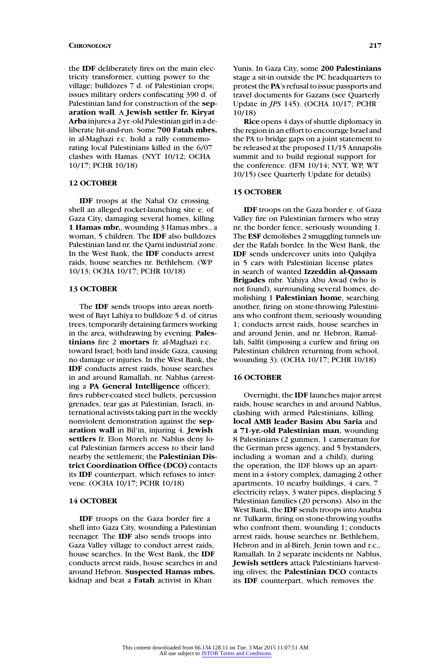the **IDF** deliberately fires on the main electricity transformer, cutting power to the village; bulldozes 7 d. of Palestinian crops; issues military orders confiscating 390 d. of Palestinian land for construction of the **separation wall**. A **Jewish settler fr. Kiryat Arba** injures a 2-yr.-old Palestinian girl in a deliberate hit-and-run. Some **700 Fatah mbrs.** in al-Maghazi r.c. hold a rally commemorating local Palestinians killed in the 6/07 clashes with Hamas. (NYT 10/12; OCHA 10/17; PCHR 10/18)

# **12 OCTOBER**

**IDF** troops at the Nahal Oz crossing shell an alleged rocket-launching site e. of Gaza City, damaging several homes, killing **1 Hamas mbr.**, wounding 3 Hamas mbrs., a woman, 5 children. The **IDF** also bulldozes Palestinian land nr. the Qarni industrial zone. In the West Bank, the **IDF** conducts arrest raids, house searches nr. Bethlehem. (WP 10/13; OCHA 10/17; PCHR 10/18)

### **13 OCTOBER**

The **IDF** sends troops into areas northwest of Bayt Lahiya to bulldoze 5 d. of citrus trees, temporarily detaining farmers working in the area, withdrawing by evening. **Palestinians** fire 2 **mortars** fr. al-Maghazi r.c. toward Israel; both land inside Gaza, causing no damage or injuries. In the West Bank, the **IDF** conducts arrest raids, house searches in and around Ramallah, nr. Nablus (arresting a **PA General Intelligence** officer); fires rubber-coated steel bullets, percussion grenades, tear gas at Palestinian, Israeli, international activists taking part in the weekly nonviolent demonstration against the **separation wall** in Bil'in, injuring 4. **Jewish settlers** fr. Elon Moreh nr. Nablus deny local Palestinian farmers access to their land nearby the settlement; the **Palestinian District Coordination Office (DCO)** contacts its **IDF** counterpart, which refuses to intervene. (OCHA 10/17; PCHR 10/18)

# **14 OCTOBER**

**IDF** troops on the Gaza border fire a shell into Gaza City, wounding a Palestinian teenager. The **IDF** also sends troops into Gaza Valley village to conduct arrest raids, house searches. In the West Bank, the **IDF** conducts arrest raids, house searches in and around Hebron. **Suspected Hamas mbrs.** kidnap and beat a **Fatah** activist in Khan

Yunis. In Gaza City, some **200 Palestinians** stage a sit-in outside the PC headquarters to protest the **PA**'s refusal to issue passports and travel documents for Gazans (see Quarterly Update in *JPS* 145). (OCHA 10/17; PCHR 10/18)

**Rice** opens 4 days of shuttle diplomacy in the region in an effort to encourage Israel and the PA to bridge gaps on a joint statement to be released at the proposed 11/15 Annapolis summit and to build regional support for the conference. (IFM 10/14; NYT, WP, WT 10/15) (see Quarterly Update for details)

### **15 OCTOBER**

**IDF** troops on the Gaza border e. of Gaza Valley fire on Palestinian farmers who stray nr. the border fence, seriously wounding 1. The **ESF** demolishes 2 smuggling tunnels under the Rafah border. In the West Bank, the **IDF** sends undercover units into Qalqilya in 5 cars with Palestinian license plates in search of wanted **Izzeddin al-Qassam Brigades** mbr. Yahiya Abu Awad (who is not found), surrounding several homes, demolishing 1 **Palestinian home**, searching another, firing on stone-throwing Palestinians who confront them, seriously wounding 1; conducts arrest raids, house searches in and around Jenin, and nr. Hebron, Ramallah, Salfit (imposing a curfew and firing on Palestinian children returning from school, wounding 3). (OCHA 10/17; PCHR 10/18)

# **16 OCTOBER**

Overnight, the **IDF** launches major arrest raids, house searches in and around Nablus, clashing with armed Palestinians, killing **local AMB leader Basim Abu Saria** and **a 71-yr.-old Palestinian man**, wounding 8 Palestinians (2 gunmen, 1 cameraman for the German press agency, and 5 bystanders, including a woman and a child); during the operation, the IDF blows up an apartment in a 4-story complex, damaging 2 other apartments, 10 nearby buildings, 4 cars, 7 electricity relays, 3 water pipes, displacing 3 Palestinian families (20 persons). Also in the West Bank, the **IDF** sends troops into Anabta nr. Tulkarm, firing on stone-throwing youths who confront them, wounding 1; conducts arrest raids, house searches nr. Bethlehem, Hebron and in al-Bireh, Jenin town and r.c., Ramallah. In 2 separate incidents nr. Nablus, **Jewish settlers** attack Palestinians harvesting olives; the **Palestinian DCO** contacts its **IDF** counterpart, which removes the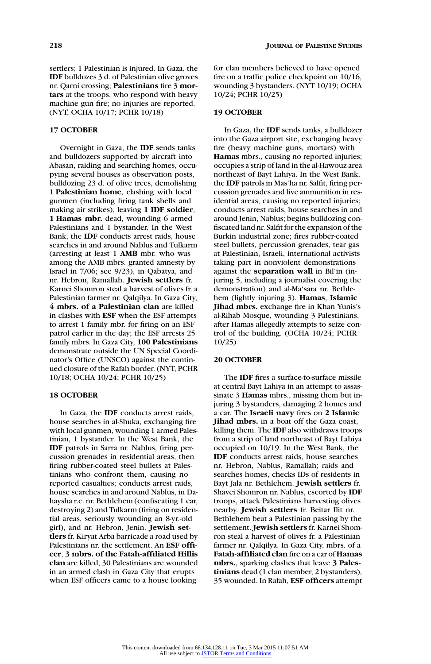settlers; 1 Palestinian is injured. In Gaza, the **IDF** bulldozes 3 d. of Palestinian olive groves nr. Qarni crossing; **Palestinians** fire 3 **mortars** at the troops, who respond with heavy machine gun fire; no injuries are reported. (NYT, OCHA 10/17; PCHR 10/18)

### **17 OCTOBER**

Overnight in Gaza, the **IDF** sends tanks and bulldozers supported by aircraft into Abasan, raiding and searching homes, occupying several houses as observation posts, bulldozing 23 d. of olive trees, demolishing 1 **Palestinian home**, clashing with local gunmen (including firing tank shells and making air strikes), leaving **1 IDF soldier**, **1 Hamas mbr.** dead, wounding 6 armed Palestinians and 1 bystander. In the West Bank, the **IDF** conducts arrest raids, house searches in and around Nablus and Tulkarm (arresting at least 1 **AMB** mbr. who was among the AMB mbrs. granted amnesty by Israel in 7/06; see 9/23), in Qabatya, and nr. Hebron, Ramallah. **Jewish settlers** fr. Karnei Shomron steal a harvest of olives fr. a Palestinian farmer nr. Qalqilya. In Gaza City, **4 mbrs. of a Palestinian clan** are killed in clashes with **ESF** when the ESF attempts to arrest 1 family mbr. for firing on an ESF patrol earlier in the day; the ESF arrests 25 family mbrs. In Gaza City, **100 Palestinians** demonstrate outside the UN Special Coordinator's Office (UNSCO) against the continued closure of the Rafah border. (NYT, PCHR 10/18; OCHA 10/24; PCHR 10/25)

#### **18 OCTOBER**

In Gaza, the **IDF** conducts arrest raids, house searches in al-Shuka, exchanging fire with local gunmen, wounding 1 armed Palestinian, 1 bystander. In the West Bank, the **IDF** patrols in Sarra nr. Nablus, firing percussion grenades in residential areas, then firing rubber-coated steel bullets at Palestinians who confront them, causing no reported casualties; conducts arrest raids, house searches in and around Nablus, in Dahaysha r.c. nr. Bethlehem (confiscating 1 car, destroying 2) and Tulkarm (firing on residential areas, seriously wounding an 8-yr.-old girl), and nr. Hebron, Jenin. **Jewish settlers** fr. Kiryat Arba barricade a road used by Palestinians nr. the settlement. An **ESF officer**, **3 mbrs. of the Fatah-affiliated Hillis clan** are killed, 30 Palestinians are wounded in an armed clash in Gaza City that erupts when ESF officers came to a house looking

for clan members believed to have opened fire on a traffic police checkpoint on 10/16, wounding 3 bystanders. (NYT 10/19; OCHA 10/24; PCHR 10/25)

#### **19 OCTOBER**

In Gaza, the **IDF** sends tanks, a bulldozer into the Gaza airport site, exchanging heavy fire (heavy machine guns, mortars) with **Hamas** mbrs., causing no reported injuries; occupies a strip of land in the al-Hawouz area northeast of Bayt Lahiya. In the West Bank, the **IDF** patrols in Mas'ha nr. Salfit, firing percussion grenades and live ammunition in residential areas, causing no reported injuries; conducts arrest raids, house searches in and around Jenin, Nablus; begins bulldozing confiscated land nr. Salfit for the expansion of the Burkin industrial zone; fires rubber-coated steel bullets, percussion grenades, tear gas at Palestinian, Israeli, international activists taking part in nonviolent demonstrations against the **separation wall** in Bil'in (injuring 5, including a journalist covering the demonstration) and al-Ma'sara nr. Bethlehem (lightly injuring 3). **Hamas**, **Islamic Jihad mbrs.** exchange fire in Khan Yunis's al-Rihab Mosque, wounding 3 Palestinians, after Hamas allegedly attempts to seize control of the building. (OCHA 10/24; PCHR 10/25)

# **20 OCTOBER**

The **IDF** fires a surface-to-surface missile at central Bayt Lahiya in an attempt to assassinate 3 **Hamas** mbrs., missing them but injuring 3 bystanders, damaging 2 homes and a car. The **Israeli navy** fires on **2 Islamic Jihad mbrs.** in a boat off the Gaza coast, killing them. The **IDF** also withdraws troops from a strip of land northeast of Bayt Lahiya occupied on 10/19. In the West Bank, the **IDF** conducts arrest raids, house searches nr. Hebron, Nablus, Ramallah; raids and searches homes, checks IDs of residents in Bayt Jala nr. Bethlehem. **Jewish settlers** fr. Shavei Shomron nr. Nablus, escorted by **IDF** troops, attack Palestinians harvesting olives nearby. **Jewish settlers** fr. Beitar Ilit nr. Bethlehem beat a Palestinian passing by the settlement. **Jewish settlers** fr. Karnei Shomron steal a harvest of olives fr. a Palestinian farmer nr. Qalqilya. In Gaza City, mbrs. of a **Fatah-affiliated clan** fire on a car of **Hamas mbrs.**, sparking clashes that leave **3 Palestinians** dead (1 clan member, 2 bystanders), 35 wounded. In Rafah, **ESF officers** attempt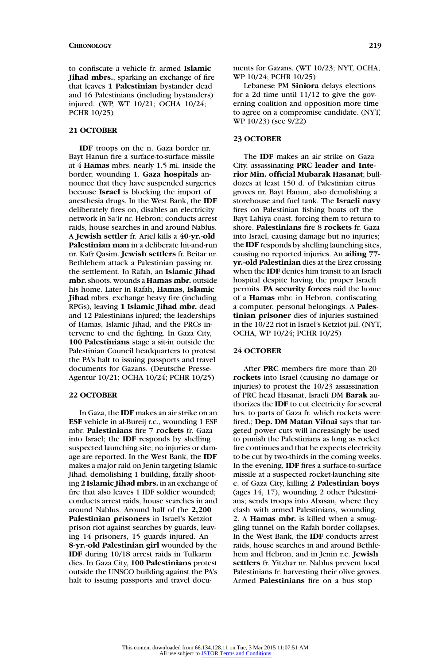to confiscate a vehicle fr. armed **Islamic Jihad mbrs.**, sparking an exchange of fire that leaves **1 Palestinian** bystander dead and 16 Palestinians (including bystanders) injured. (WP, WT 10/21; OCHA 10/24; PCHR 10/25)

#### **21 OCTOBER**

**IDF** troops on the n. Gaza border nr. Bayt Hanun fire a surface-to-surface missile at 4 **Hamas** mbrs. nearly 1.5 mi. inside the border, wounding 1. **Gaza hospitals** announce that they have suspended surgeries because **Israel** is blocking the import of anesthesia drugs. In the West Bank, the **IDF** deliberately fires on, disables an electricity network in Sa'ir nr. Hebron; conducts arrest raids, house searches in and around Nablus. A **Jewish settler** fr. Ariel kills a **40-yr.-old Palestinian man** in a deliberate hit-and-run nr. Kafr Qasim. **Jewish settlers** fr. Beitar nr. Bethlehem attack a Palestinian passing nr. the settlement. In Rafah, an **Islamic Jihad mbr.**shoots, wounds a **Hamas mbr.** outside his home. Later in Rafah, **Hamas**, **Islamic Jihad** mbrs. exchange heavy fire (including RPGs), leaving **1 Islamic Jihad mbr.** dead and 12 Palestinians injured; the leaderships of Hamas, Islamic Jihad, and the PRCs intervene to end the fighting. In Gaza City, **100 Palestinians** stage a sit-in outside the Palestinian Council headquarters to protest the PA's halt to issuing passports and travel documents for Gazans. (Deutsche Presse-Agentur 10/21; OCHA 10/24; PCHR 10/25)

#### **22 OCTOBER**

In Gaza, the **IDF** makes an air strike on an **ESF** vehicle in al-Bureij r.c., wounding 1 ESF mbr. **Palestinians** fire 7 **rockets** fr. Gaza into Israel; the **IDF** responds by shelling suspected launching site; no injuries or damage are reported. In the West Bank, the **IDF** makes a major raid on Jenin targeting Islamic Jihad, demolishing 1 building, fatally shooting **2 Islamic Jihad mbrs.** in an exchange of fire that also leaves 1 IDF soldier wounded; conducts arrest raids, house searches in and around Nablus. Around half of the **2,200 Palestinian prisoners** in Israel's Ketziot prison riot against searches by guards, leaving 14 prisoners, 15 guards injured. An **8-yr.-old Palestinian girl** wounded by the **IDF** during 10/18 arrest raids in Tulkarm dies. In Gaza City, **100 Palestinians** protest outside the UNSCO building against the PA's halt to issuing passports and travel documents for Gazans. (WT 10/23; NYT, OCHA, WP 10/24; PCHR 10/25)

Lebanese PM **Siniora** delays elections for a 2d time until 11/12 to give the governing coalition and opposition more time to agree on a compromise candidate. (NYT, WP 10/23) (see 9/22)

### **23 OCTOBER**

The **IDF** makes an air strike on Gaza City, assassinating **PRC leader and Interior Min. official Mubarak Hasanat**; bulldozes at least 150 d. of Palestinian citrus groves nr. Bayt Hanun, also demolishing a storehouse and fuel tank. The **Israeli navy** fires on Palestinian fishing boats off the Bayt Lahiya coast, forcing them to return to shore. **Palestinians** fire 8 **rockets** fr. Gaza into Israel, causing damage but no injuries; the **IDF** responds by shelling launching sites, causing no reported injuries. An **ailing 77 yr.-old Palestinian** dies at the Erez crossing when the **IDF** denies him transit to an Israeli hospital despite having the proper Israeli permits. **PA security forces** raid the home of a **Hamas** mbr. in Hebron, confiscating a computer, personal belongings. A **Palestinian prisoner** dies of injuries sustained in the 10/22 riot in Israel's Ketziot jail. (NYT, OCHA, WP 10/24; PCHR 10/25)

# **24 OCTOBER**

After **PRC** members fire more than 20 **rockets** into Israel (causing no damage or injuries) to protest the 10/23 assassination of PRC head Hasanat, Israeli DM **Barak** authorizes the **IDF** to cut electricity for several hrs. to parts of Gaza fr. which rockets were fired.; **Dep. DM Matan Vilnai** says that targeted power cuts will increasingly be used to punish the Palestinians as long as rocket fire continues and that he expects electricity to be cut by two-thirds in the coming weeks. In the evening, **IDF** fires a surface-to-surface missile at a suspected rocket-launching site e. of Gaza City, killing **2 Palestinian boys** (ages 14, 17), wounding 2 other Palestinians; sends troops into Abasan, where they clash with armed Palestinians, wounding 2. A **Hamas mbr.** is killed when a smuggling tunnel on the Rafah border collapses. In the West Bank, the **IDF** conducts arrest raids, house searches in and around Bethlehem and Hebron, and in Jenin r.c. **Jewish settlers** fr. Yitzhar nr. Nablus prevent local Palestinians fr. harvesting their olive groves. Armed **Palestinians** fire on a bus stop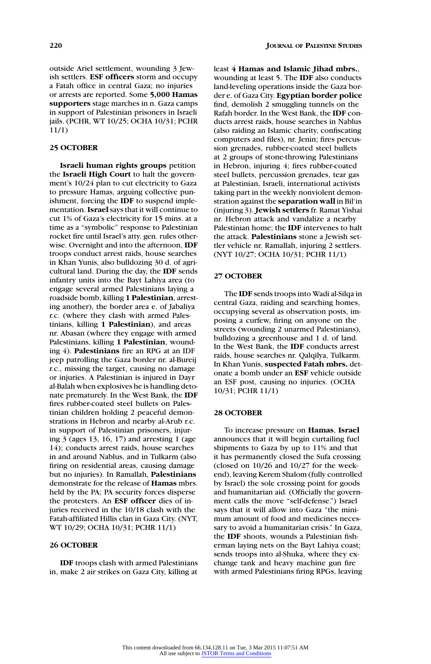outside Ariel settlement, wounding 3 Jewish settlers. **ESF officers** storm and occupy a Fatah office in central Gaza; no injuries or arrests are reported. Some **5,000 Hamas supporters** stage marches in n. Gaza camps in support of Palestinian prisoners in Israeli jails. (PCHR, WT 10/25; OCHA 10/31; PCHR 11/1)

# **25 OCTOBER**

**Israeli human rights groups** petition the **Israeli High Court** to halt the government's 10/24 plan to cut electricity to Gaza to pressure Hamas, arguing collective punishment, forcing the **IDF** to suspend implementation.**Israel**says that it will continue to cut 1% of Gaza's electricity for 15 mins. at a time as a "symbolic" response to Palestinian rocket fire until Israel's atty. gen. rules otherwise. Overnight and into the afternoon, **IDF** troops conduct arrest raids, house searches in Khan Yunis, also bulldozing 30 d. of agricultural land. During the day, the **IDF** sends infantry units into the Bayt Lahiya area (to engage several armed Palestinians laying a roadside bomb, killing **1 Palestinian**, arresting another), the border area e. of Jabaliya r.c. (where they clash with armed Palestinians, killing **1 Palestinian**), and areas nr. Abasan (where they engage with armed Palestinians, killing **1 Palestinian**, wounding 4). **Palestinians** fire an RPG at an IDF jeep patrolling the Gaza border nr. al-Bureij r.c., missing the target, causing no damage or injuries. A Palestinian is injured in Dayr al-Balah when explosives he is handling detonate prematurely. In the West Bank, the **IDF** fires rubber-coated steel bullets on Palestinian children holding 2 peaceful demonstrations in Hebron and nearby al-Arub r.c. in support of Palestinian prisoners, injuring 3 (ages 13, 16, 17) and arresting 1 (age 14); conducts arrest raids, house searches in and around Nablus, and in Tulkarm (also firing on residential areas, causing damage but no injuries). In Ramallah, **Palestinians** demonstrate for the release of **Hamas** mbrs. held by the PA; PA security forces disperse the protesters. An **ESF officer** dies of injuries received in the 10/18 clash with the Fatah-affiliated Hillis clan in Gaza City. (NYT, WT 10/29; OCHA 10/31; PCHR 11/1)

# **26 OCTOBER**

**IDF** troops clash with armed Palestinians in, make 2 air strikes on Gaza City, killing at least **4 Hamas and Islamic Jihad mbrs.**, wounding at least 5. The **IDF** also conducts land-leveling operations inside the Gaza border e. of Gaza City. **Egyptian border police** find, demolish 2 smuggling tunnels on the Rafah border. In the West Bank, the **IDF** conducts arrest raids, house searches in Nablus (also raiding an Islamic charity, confiscating computers and files), nr. Jenin; fires percussion grenades, rubber-coated steel bullets at 2 groups of stone-throwing Palestinians in Hebron, injuring 4; fires rubber-coated steel bullets, percussion grenades, tear gas at Palestinian, Israeli, international activists taking part in the weekly nonviolent demonstration against the **separation wall** in Bil'in (injuring 3). **Jewish settlers** fr. Ramat Yishai nr. Hebron attack and vandalize a nearby Palestinian home; the **IDF** intervenes to halt the attack. **Palestinians** stone a Jewish settler vehicle nr. Ramallah, injuring 2 settlers. (NYT 10/27; OCHA 10/31; PCHR 11/1)

# **27 OCTOBER**

The **IDF** sends troops into Wadi al-Silqa in central Gaza, raiding and searching homes, occupying several as observation posts, imposing a curfew, firing on anyone on the streets (wounding 2 unarmed Palestinians), bulldozing a greenhouse and 1 d. of land. In the West Bank, the **IDF** conducts arrest raids, house searches nr. Qalqilya, Tulkarm. In Khan Yunis, **suspected Fatah mbrs.** detonate a bomb under an **ESF** vehicle outside an ESF post, causing no injuries. (OCHA 10/31; PCHR 11/1)

# **28 OCTOBER**

To increase pressure on **Hamas**, **Israel** announces that it will begin curtailing fuel shipments to Gaza by up to 11% and that it has permanently closed the Sufa crossing (closed on 10/26 and 10/27 for the weekend), leaving Kerem Shalom (fully controlled by Israel) the sole crossing point for goods and humanitarian aid. (Officially the government calls the move "self-defense.") Israel says that it will allow into Gaza "the minimum amount of food and medicines necessary to avoid a humanitarian crisis." In Gaza, the **IDF** shoots, wounds a Palestinian fisherman laying nets on the Bayt Lahiya coast; sends troops into al-Shuka, where they exchange tank and heavy machine gun fire with armed Palestinians firing RPGs, leaving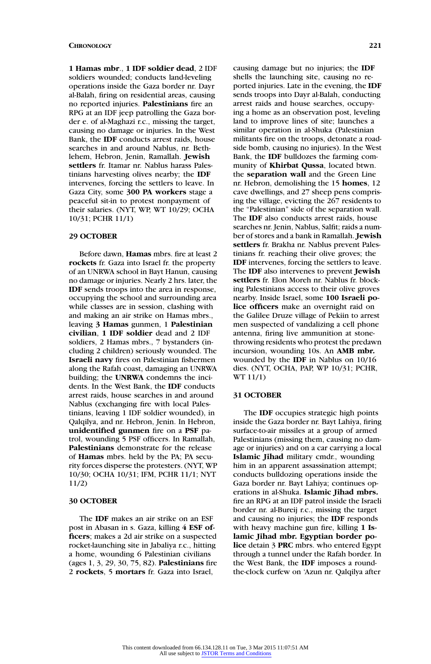**1 Hamas mbr**., **1 IDF soldier dead**, 2 IDF soldiers wounded; conducts land-leveling operations inside the Gaza border nr. Dayr al-Balah, firing on residential areas, causing no reported injuries. **Palestinians** fire an RPG at an IDF jeep patrolling the Gaza border e. of al-Maghazi r.c., missing the target, causing no damage or injuries. In the West Bank, the **IDF** conducts arrest raids, house searches in and around Nablus, nr. Bethlehem, Hebron, Jenin, Ramallah. **Jewish settlers** fr. Itamar nr. Nablus harass Palestinians harvesting olives nearby; the **IDF** intervenes, forcing the settlers to leave. In Gaza City, some **300 PA workers** stage a peaceful sit-in to protest nonpayment of their salaries. (NYT, WP, WT 10/29; OCHA 10/31; PCHR 11/1)

#### **29 OCTOBER**

Before dawn, **Hamas** mbrs. fire at least 2 **rockets** fr. Gaza into Israel fr. the property of an UNRWA school in Bayt Hanun, causing no damage or injuries. Nearly 2 hrs. later, the **IDF** sends troops into the area in response, occupying the school and surrounding area while classes are in session, clashing with and making an air strike on Hamas mbrs., leaving **3 Hamas** gunmen, 1 **Palestinian civilian**, **1 IDF soldier** dead and 2 IDF soldiers, 2 Hamas mbrs., 7 bystanders (including 2 children) seriously wounded. The **Israeli navy** fires on Palestinian fishermen along the Rafah coast, damaging an UNRWA building; the **UNRWA** condemns the incidents. In the West Bank, the **IDF** conducts arrest raids, house searches in and around Nablus (exchanging fire with local Palestinians, leaving 1 IDF soldier wounded), in Qalqilya, and nr. Hebron, Jenin. In Hebron, **unidentified gunmen** fire on a **PSF** patrol, wounding 5 PSF officers. In Ramallah, **Palestinians** demonstrate for the release of **Hamas** mbrs. held by the PA; PA security forces disperse the protesters. (NYT, WP 10/30; OCHA 10/31; IFM, PCHR 11/1; NYT 11/2)

### **30 OCTOBER**

The **IDF** makes an air strike on an ESF post in Abasan in s. Gaza, killing **4 ESF officers**; makes a 2d air strike on a suspected rocket-launching site in Jabaliya r.c., hitting a home, wounding 6 Palestinian civilians (ages 1, 3, 29, 30, 75, 82). **Palestinians** fire 2 **rockets**, 5 **mortars** fr. Gaza into Israel,

causing damage but no injuries; the **IDF** shells the launching site, causing no reported injuries. Late in the evening, the **IDF** sends troops into Dayr al-Balah, conducting arrest raids and house searches, occupying a home as an observation post, leveling land to improve lines of site; launches a similar operation in al-Shuka (Palestinian militants fire on the troops, detonate a roadside bomb, causing no injuries). In the West Bank, the **IDF** bulldozes the farming community of **Khirbat Qussa**, located btwn. the **separation wall** and the Green Line nr. Hebron, demolishing the 15 **homes**, 12 cave dwellings, and 27 sheep pens comprising the village, evicting the 267 residents to the "Palestinian" side of the separation wall. The **IDF** also conducts arrest raids, house searches nr. Jenin, Nablus, Salfit; raids a number of stores and a bank in Ramallah. **Jewish settlers** fr. Brakha nr. Nablus prevent Palestinians fr. reaching their olive groves; the **IDF** intervenes, forcing the settlers to leave. The **IDF** also intervenes to prevent **Jewish settlers** fr. Elon Moreh nr. Nablus fr. blocking Palestinians access to their olive groves nearby. Inside Israel, some **100 Israeli police officers** make an overnight raid on the Galilee Druze village of Pekiin to arrest men suspected of vandalizing a cell phone antenna, firing live ammunition at stonethrowing residents who protest the predawn incursion, wounding 10s. An **AMB mbr.** wounded by the **IDF** in Nablus on 10/16 dies. (NYT, OCHA, PAP, WP 10/31; PCHR, WT 11/1)

#### **31 OCTOBER**

The **IDF** occupies strategic high points inside the Gaza border nr. Bayt Lahiya, firing surface-to-air missiles at a group of armed Palestinians (missing them, causing no damage or injuries) and on a car carrying a local **Islamic Jihad** military cmdr., wounding him in an apparent assassination attempt; conducts bulldozing operations inside the Gaza border nr. Bayt Lahiya; continues operations in al-Shuka. **Islamic Jihad mbrs.** fire an RPG at an IDF patrol inside the Israeli border nr. al-Bureij r.c., missing the target and causing no injuries; the **IDF** responds with heavy machine gun fire, killing **1 Islamic Jihad mbr. Egyptian border police** detain 3 **PRC** mbrs. who entered Egypt through a tunnel under the Rafah border. In the West Bank, the **IDF** imposes a roundthe-clock curfew on 'Azun nr. Qalqilya after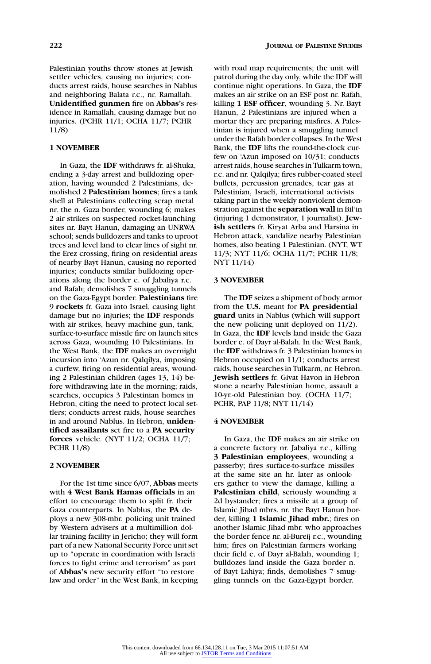Palestinian youths throw stones at Jewish settler vehicles, causing no injuries; conducts arrest raids, house searches in Nablus and neighboring Balata r.c., nr. Ramallah. **Unidentified gunmen** fire on **Abbas'**s residence in Ramallah, causing damage but no injuries. (PCHR 11/1; OCHA 11/7; PCHR 11/8)

# **1 NOVEMBER**

In Gaza, the **IDF** withdraws fr. al-Shuka, ending a 3-day arrest and bulldozing operation, having wounded 2 Palestinians, demolished 2 **Palestinian homes**; fires a tank shell at Palestinians collecting scrap metal nr. the n. Gaza border, wounding 6; makes 2 air strikes on suspected rocket-launching sites nr. Bayt Hanun, damaging an UNRWA school; sends bulldozers and tanks to uproot trees and level land to clear lines of sight nr. the Erez crossing, firing on residential areas of nearby Bayt Hanun, causing no reported injuries; conducts similar bulldozing operations along the border e. of Jabaliya r.c. and Rafah; demolishes 7 smuggling tunnels on the Gaza-Egypt border. **Palestinians** fire 9 **rockets** fr. Gaza into Israel, causing light damage but no injuries; the **IDF** responds with air strikes, heavy machine gun, tank, surface-to-surface missile fire on launch sites across Gaza, wounding 10 Palestinians. In the West Bank, the **IDF** makes an overnight incursion into 'Azun nr. Qalqilya, imposing a curfew, firing on residential areas, wounding 2 Palestinian children (ages 13, 14) before withdrawing late in the morning; raids, searches, occupies 3 Palestinian homes in Hebron, citing the need to protect local settlers; conducts arrest raids, house searches in and around Nablus. In Hebron, **unidentified assailants** set fire to a **PA security forces** vehicle. (NYT 11/2; OCHA 11/7; PCHR 11/8)

### **2 NOVEMBER**

For the 1st time since 6/07, **Abbas** meets with **4 West Bank Hamas officials** in an effort to encourage them to split fr. their Gaza counterparts. In Nablus, the **PA** deploys a new 308-mbr. policing unit trained by Western advisers at a multimillion dollar training facility in Jericho; they will form part of a new National Security Force unit set up to "operate in coordination with Israeli forces to fight crime and terrorism" as part of **Abbas's** new security effort "to restore law and order" in the West Bank, in keeping with road map requirements; the unit will patrol during the day only, while the IDF will continue night operations. In Gaza, the **IDF** makes an air strike on an ESF post nr. Rafah, killing **1 ESF officer**, wounding 3. Nr. Bayt Hanun, 2 Palestinians are injured when a mortar they are preparing misfires. A Palestinian is injured when a smuggling tunnel under the Rafah border collapses. In the West Bank, the **IDF** lifts the round-the-clock curfew on 'Azun imposed on 10/31; conducts arrest raids, house searches in Tulkarm town, r.c. and nr. Qalqilya; fires rubber-coated steel bullets, percussion grenades, tear gas at Palestinian, Israeli, international activists taking part in the weekly nonviolent demonstration against the **separation wall** in Bil'in (injuring 1 demonstrator, 1 journalist). **Jewish settlers** fr. Kiryat Arba and Harsina in Hebron attack, vandalize nearby Palestinian homes, also beating 1 Palestinian. (NYT, WT 11/3; NYT 11/6; OCHA 11/7; PCHR 11/8; NYT 11/14)

# **3 NOVEMBER**

The **IDF** seizes a shipment of body armor from the **U.S.** meant for **PA presidential guard** units in Nablus (which will support the new policing unit deployed on 11/2). In Gaza, the **IDF** levels land inside the Gaza border e. of Dayr al-Balah. In the West Bank, the **IDF** withdraws fr. 3 Palestinian homes in Hebron occupied on 11/1; conducts arrest raids, house searches in Tulkarm, nr. Hebron. **Jewish settlers** fr. Givat Havon in Hebron stone a nearby Palestinian home, assault a 10-yr.-old Palestinian boy. (OCHA 11/7; PCHR, PAP 11/8; NYT 11/14)

# **4 NOVEMBER**

In Gaza, the **IDF** makes an air strike on a concrete factory nr. Jabaliya r.c., killing **3 Palestinian employees**, wounding a passerby; fires surface-to-surface missiles at the same site an hr. later as onlookers gather to view the damage, killing a **Palestinian child**, seriously wounding a 2d bystander; fires a missile at a group of Islamic Jihad mbrs. nr. the Bayt Hanun border, killing **1 Islamic Jihad mbr.**; fires on another Islamic Jihad mbr. who approaches the border fence nr. al-Bureij r.c., wounding him; fires on Palestinian farmers working their field e. of Dayr al-Balah, wounding 1; bulldozes land inside the Gaza border n. of Bayt Lahiya; finds, demolishes 7 smuggling tunnels on the Gaza-Egypt border.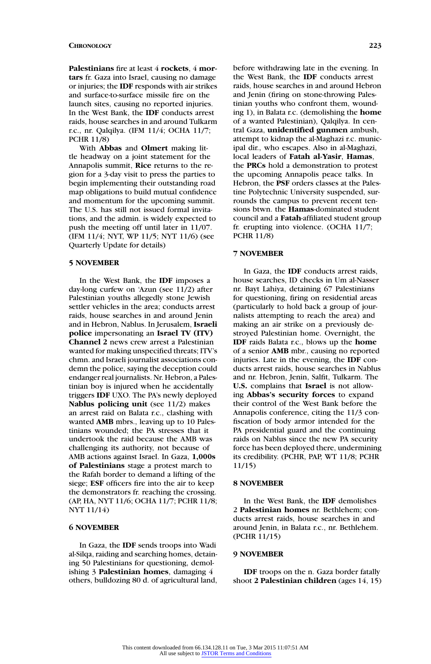**Palestinians** fire at least 4 **rockets**, 4 **mortars** fr. Gaza into Israel, causing no damage or injuries; the **IDF** responds with air strikes and surface-to-surface missile fire on the launch sites, causing no reported injuries. In the West Bank, the **IDF** conducts arrest raids, house searches in and around Tulkarm r.c., nr. Qalqilya. (IFM 11/4; OCHA 11/7; PCHR 11/8)

With **Abbas** and **Olmert** making little headway on a joint statement for the Annapolis summit, **Rice** returns to the region for a 3-day visit to press the parties to begin implementing their outstanding road map obligations to build mutual confidence and momentum for the upcoming summit. The U.S. has still not issued formal invitations, and the admin. is widely expected to push the meeting off until later in 11/07. (IFM 11/4; NYT, WP 11/5; NYT 11/6) (see Quarterly Update for details)

# **5 NOVEMBER**

In the West Bank, the **IDF** imposes a day-long curfew on 'Azun (see 11/2) after Palestinian youths allegedly stone Jewish settler vehicles in the area; conducts arrest raids, house searches in and around Jenin and in Hebron, Nablus. In Jerusalem, **Israeli police** impersonating an **Israel TV (ITV) Channel 2** news crew arrest a Palestinian wanted for making unspecified threats; ITV's chmn. and Israeli journalist associations condemn the police, saying the deception could endanger real journalists. Nr. Hebron, a Palestinian boy is injured when he accidentally triggers **IDF** UXO. The PA's newly deployed **Nablus policing unit** (see 11/2) makes an arrest raid on Balata r.c., clashing with wanted **AMB** mbrs., leaving up to 10 Palestinians wounded; the PA stresses that it undertook the raid because the AMB was challenging its authority, not because of AMB actions against Israel. In Gaza, **1,000s of Palestinians** stage a protest march to the Rafah border to demand a lifting of the siege; **ESF** officers fire into the air to keep the demonstrators fr. reaching the crossing. (AP, HA, NYT 11/6; OCHA 11/7; PCHR 11/8; NYT 11/14)

#### **6 NOVEMBER**

In Gaza, the **IDF** sends troops into Wadi al-Silqa, raiding and searching homes, detaining 50 Palestinians for questioning, demolishing 3 **Palestinian homes**, damaging 4 others, bulldozing 80 d. of agricultural land, before withdrawing late in the evening. In the West Bank, the **IDF** conducts arrest raids, house searches in and around Hebron and Jenin (firing on stone-throwing Palestinian youths who confront them, wounding 1), in Balata r.c. (demolishing the **home** of a wanted Palestinian), Qalqilya. In central Gaza, **unidentified gunmen** ambush, attempt to kidnap the al-Maghazi r.c. municipal dir., who escapes. Also in al-Maghazi, local leaders of **Fatah al-Yasir**, **Hamas**, the **PRCs** hold a demonstration to protest the upcoming Annapolis peace talks. In Hebron, the **PSF** orders classes at the Palestine Polytechnic University suspended, surrounds the campus to prevent recent tensions btwn. the **Hamas**-dominated student council and a **Fatah**-affiliated student group fr. erupting into violence. (OCHA 11/7; PCHR 11/8)

# **7 NOVEMBER**

In Gaza, the **IDF** conducts arrest raids, house searches, ID checks in Um al-Nasser nr. Bayt Lahiya, detaining 67 Palestinians for questioning, firing on residential areas (particularly to hold back a group of journalists attempting to reach the area) and making an air strike on a previously destroyed Palestinian home. Overnight, the **IDF** raids Balata r.c., blows up the **home** of a senior **AMB** mbr., causing no reported injuries. Late in the evening, the **IDF** conducts arrest raids, house searches in Nablus and nr. Hebron, Jenin, Salfit, Tulkarm. The **U.S.** complains that **Israel** is not allowing **Abbas's security forces** to expand their control of the West Bank before the Annapolis conference, citing the 11/3 confiscation of body armor intended for the PA presidential guard and the continuing raids on Nablus since the new PA security force has been deployed there, undermining its credibility. (PCHR, PAP, WT 11/8; PCHR 11/15)

# **8 NOVEMBER**

In the West Bank, the **IDF** demolishes 2 **Palestinian homes** nr. Bethlehem; conducts arrest raids, house searches in and around Jenin, in Balata r.c., nr. Bethlehem. (PCHR 11/15)

### **9 NOVEMBER**

**IDF** troops on the n. Gaza border fatally shoot **2 Palestinian children** (ages 14, 15)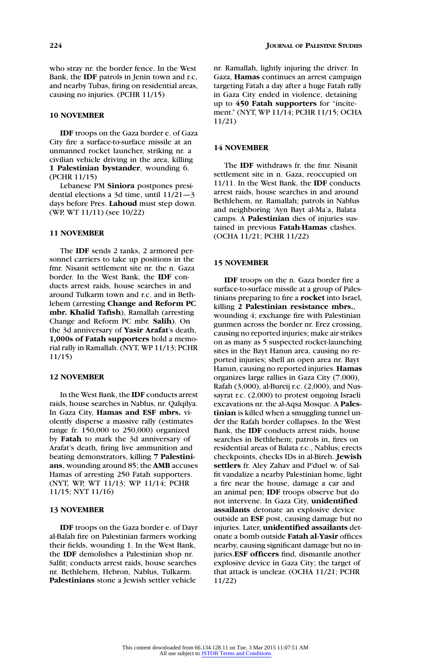who stray nr. the border fence. In the West Bank, the **IDF** patrols in Jenin town and r.c, and nearby Tubas, firing on residential areas, causing no injuries. (PCHR 11/15)

#### **10 NOVEMBER**

**IDF** troops on the Gaza border e. of Gaza City fire a surface-to-surface missile at an unmanned rocket launcher, striking nr. a civilian vehicle driving in the area, killing **1 Palestinian bystander**, wounding 6. (PCHR 11/15)

Lebanese PM **Siniora** postpones presidential elections a 3d time, until 11/21—3 days before Pres. **Lahoud** must step down. (WP, WT 11/11) (see 10/22)

# **11 NOVEMBER**

The **IDF** sends 2 tanks, 2 armored personnel carriers to take up positions in the fmr. Nisanit settlement site nr. the n. Gaza border. In the West Bank, the **IDF** conducts arrest raids, house searches in and around Tulkarm town and r.c. and in Bethlehem (arresting **Change and Reform PC mbr. Khalid Tafish**), Ramallah (arresting Change and Reform PC mbr. **Salih**). On the 3d anniversary of **Yasir Arafat**'s death, **1,000s of Fatah supporters** hold a memorial rally in Ramallah. (NYT, WP 11/13; PCHR 11/15)

# **12 NOVEMBER**

In the West Bank, the **IDF** conducts arrest raids, house searches in Nablus, nr. Qalqilya. In Gaza City, **Hamas and ESF mbrs.** violently disperse a massive rally (estimates range fr. 150,000 to 250,000) organized by **Fatah** to mark the 3d anniversary of Arafat's death, firing live ammunition and beating demonstrators, killing **7 Palestinians**, wounding around 85; the **AMB** accuses Hamas of arresting 250 Fatah supporters. (NYT, WP, WT 11/13; WP 11/14; PCHR 11/15; NYT 11/16)

#### **13 NOVEMBER**

**IDF** troops on the Gaza border e. of Dayr al-Balah fire on Palestinian farmers working their fields, wounding 1. In the West Bank, the **IDF** demolishes a Palestinian shop nr. Salfit; conducts arrest raids, house searches nr. Bethlehem, Hebron, Nablus, Tulkarm. **Palestinians** stone a Jewish settler vehicle

nr. Ramallah, lightly injuring the driver. In Gaza, **Hamas** continues an arrest campaign targeting Fatah a day after a huge Fatah rally in Gaza City ended in violence, detaining up to **450 Fatah supporters** for "incitement." (NYT, WP 11/14; PCHR 11/15; OCHA 11/21)

# **14 NOVEMBER**

The **IDF** withdraws fr. the fmr. Nisanit settlement site in n. Gaza, reoccupied on 11/11. In the West Bank, the **IDF** conducts arrest raids, house searches in and around Bethlehem, nr. Ramallah; patrols in Nablus and neighboring 'Ayn Bayt al-Ma'a, Balata camps. A **Palestinian** dies of injuries sustained in previous **Fatah**-**Hamas** clashes. (OCHA 11/21; PCHR 11/22)

### **15 NOVEMBER**

**IDF** troops on the n. Gaza border fire a surface-to-surface missile at a group of Palestinians preparing to fire a **rocket** into Israel, killing **2 Palestinian resistance mbrs.**, wounding 4; exchange fire with Palestinian gunmen across the border nr. Erez crossing, causing no reported injuries; make air strikes on as many as 5 suspected rocket-launching sites in the Bayt Hanun area, causing no reported injuries; shell an open area nr. Bayt Hanun, causing no reported injuries. **Hamas** organizes large rallies in Gaza City (7,000), Rafah (3,000), al-Bureij r.c. (2,000), and Nussayrat r.c. (2,000) to protest ongoing Israeli excavations nr. the al-Aqsa Mosque. A **Palestinian** is killed when a smuggling tunnel under the Rafah border collapses. In the West Bank, the **IDF** conducts arrest raids, house searches in Bethlehem; patrols in, fires on residential areas of Balata r.c., Nablus; erects checkpoints, checks IDs in al-Bireh. **Jewish settlers** fr. Aley Zahav and P'duel w. of Salfit vandalize a nearby Palestinian home, light a fire near the house, damage a car and an animal pen; **IDF** troops observe but do not intervene. In Gaza City, **unidentified assailants** detonate an explosive device outside an **ESF** post, causing damage but no injuries. Later, **unidentified assailants** detonate a bomb outside **Fatah al-Yasir** offices nearby, causing significant damage but no injuries.**ESF officers** find, dismantle another explosive device in Gaza City; the target of that attack is unclear. (OCHA 11/21; PCHR 11/22)